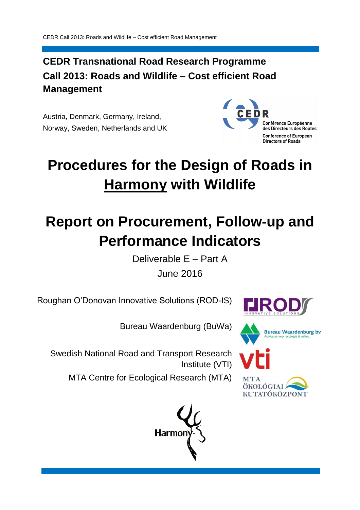## **CEDR Transnational Road Research Programme Call 2013: Roads and Wildlife – Cost efficient Road Management**

Austria, Denmark, Germany, Ireland, Norway, Sweden, Netherlands and UK



# **Procedures for the Design of Roads in Harmony with Wildlife**

# **Report on Procurement, Follow-up and Performance Indicators**

Deliverable E – Part A

June 2016

Roughan O'Donovan Innovative Solutions (ROD-IS)



Bureau Waardenburg (BuWa)

Swedish National Road and Transport Research Institute (VTI)

MTA Centre for Ecological Research (MTA)







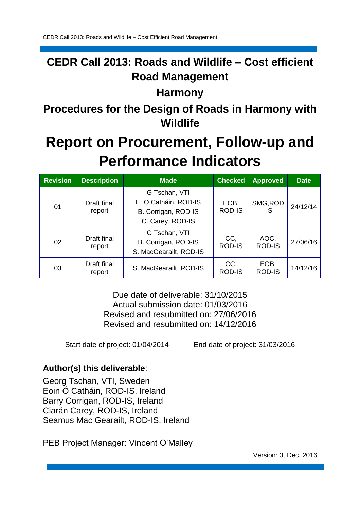## **CEDR Call 2013: Roads and Wildlife – Cost efficient Road Management**

## **Harmony**

**Procedures for the Design of Roads in Harmony with Wildlife**

# **Report on Procurement, Follow-up and Performance Indicators**

| <b>Revision</b> | <b>Description</b>    | <b>Made</b>                                                                      | <b>Checked</b>        | <b>Approved</b>       | <b>Date</b> |
|-----------------|-----------------------|----------------------------------------------------------------------------------|-----------------------|-----------------------|-------------|
| 01              | Draft final<br>report | G Tschan, VTI<br>E. Ó Catháin, ROD-IS<br>B. Corrigan, ROD-IS<br>C. Carey, ROD-IS | EOB,<br><b>ROD-IS</b> | SMG, ROD<br>$-IS$     | 24/12/14    |
| 02              | Draft final<br>report | G Tschan, VTI<br>B. Corrigan, ROD-IS<br>S. MacGearailt, ROD-IS                   | CC,<br><b>ROD-IS</b>  | AOC,<br><b>ROD-IS</b> | 27/06/16    |
| 03              | Draft final<br>report | S. MacGearailt, ROD-IS                                                           | CC,<br><b>ROD-IS</b>  | EOB,<br><b>ROD-IS</b> | 14/12/16    |

Due date of deliverable: 31/10/2015 Actual submission date: 01/03/2016 Revised and resubmitted on: 27/06/2016 Revised and resubmitted on: 14/12/2016

Start date of project: 01/04/2014 End date of project: 31/03/2016

## **Author(s) this deliverable**:

Georg Tschan, VTI, Sweden Eoin Ó Catháin, ROD-IS, Ireland Barry Corrigan, ROD-IS, Ireland Ciarán Carey, ROD-IS, Ireland Seamus Mac Gearailt, ROD-IS, Ireland

PEB Project Manager: Vincent O'Malley

Version: 3, Dec. 2016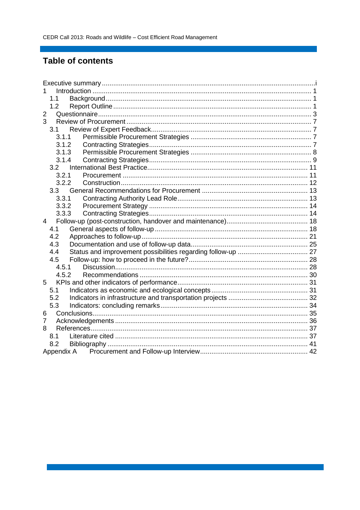## **Table of contents**

| 1              |       |  |  |  |  |  |
|----------------|-------|--|--|--|--|--|
|                | 1.1   |  |  |  |  |  |
|                | 1.2   |  |  |  |  |  |
| 2              |       |  |  |  |  |  |
| 3              |       |  |  |  |  |  |
|                | 3.1   |  |  |  |  |  |
|                | 3.1.1 |  |  |  |  |  |
|                | 3.1.2 |  |  |  |  |  |
|                | 3.1.3 |  |  |  |  |  |
|                | 3.1.4 |  |  |  |  |  |
|                | 3.2   |  |  |  |  |  |
|                | 3.2.1 |  |  |  |  |  |
|                | 3.2.2 |  |  |  |  |  |
|                |       |  |  |  |  |  |
|                | 3.3.1 |  |  |  |  |  |
|                | 3.3.2 |  |  |  |  |  |
|                | 3.3.3 |  |  |  |  |  |
| 4              |       |  |  |  |  |  |
|                | 4.1   |  |  |  |  |  |
|                | 4.2   |  |  |  |  |  |
|                | 4.3   |  |  |  |  |  |
|                | 4.4   |  |  |  |  |  |
|                | 4.5   |  |  |  |  |  |
|                | 4.5.1 |  |  |  |  |  |
|                | 4.5.2 |  |  |  |  |  |
| 5              |       |  |  |  |  |  |
|                | 5.1   |  |  |  |  |  |
|                | 5.2   |  |  |  |  |  |
|                | 5.3   |  |  |  |  |  |
| 6              |       |  |  |  |  |  |
| $\overline{7}$ |       |  |  |  |  |  |
| 8              |       |  |  |  |  |  |
|                | 8.1   |  |  |  |  |  |
|                | 8.2   |  |  |  |  |  |
|                |       |  |  |  |  |  |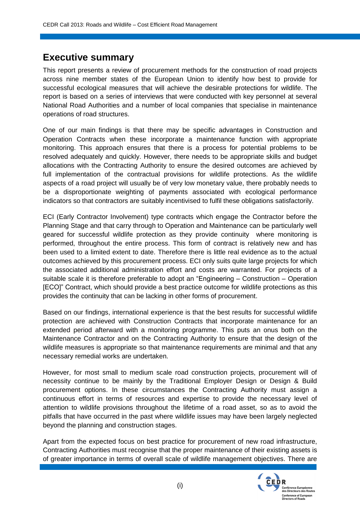## **Executive summary**

This report presents a review of procurement methods for the construction of road projects across nine member states of the European Union to identify how best to provide for successful ecological measures that will achieve the desirable protections for wildlife. The report is based on a series of interviews that were conducted with key personnel at several National Road Authorities and a number of local companies that specialise in maintenance operations of road structures.

One of our main findings is that there may be specific advantages in Construction and Operation Contracts when these incorporate a maintenance function with appropriate monitoring. This approach ensures that there is a process for potential problems to be resolved adequately and quickly. However, there needs to be appropriate skills and budget allocations with the Contracting Authority to ensure the desired outcomes are achieved by full implementation of the contractual provisions for wildlife protections. As the wildlife aspects of a road project will usually be of very low monetary value, there probably needs to be a disproportionate weighting of payments associated with ecological performance indicators so that contractors are suitably incentivised to fulfil these obligations satisfactorily.

ECI (Early Contractor Involvement) type contracts which engage the Contractor before the Planning Stage and that carry through to Operation and Maintenance can be particularly well geared for successful wildlife protection as they provide continuity where monitoring is performed, throughout the entire process. This form of contract is relatively new and has been used to a limited extent to date. Therefore there is little real evidence as to the actual outcomes achieved by this procurement process. ECI only suits quite large projects for which the associated additional administration effort and costs are warranted. For projects of a suitable scale it is therefore preferable to adopt an "Engineering – Construction – Operation [ECO]" Contract, which should provide a best practice outcome for wildlife protections as this provides the continuity that can be lacking in other forms of procurement.

Based on our findings, international experience is that the best results for successful wildlife protection are achieved with Construction Contracts that incorporate maintenance for an extended period afterward with a monitoring programme. This puts an onus both on the Maintenance Contractor and on the Contracting Authority to ensure that the design of the wildlife measures is appropriate so that maintenance requirements are minimal and that any necessary remedial works are undertaken.

However, for most small to medium scale road construction projects, procurement will of necessity continue to be mainly by the Traditional Employer Design or Design & Build procurement options. In these circumstances the Contracting Authority must assign a continuous effort in terms of resources and expertise to provide the necessary level of attention to wildlife provisions throughout the lifetime of a road asset, so as to avoid the pitfalls that have occurred in the past where wildlife issues may have been largely neglected beyond the planning and construction stages.

Apart from the expected focus on best practice for procurement of new road infrastructure, Contracting Authorities must recognise that the proper maintenance of their existing assets is of greater importance in terms of overall scale of wildlife management objectives. There are

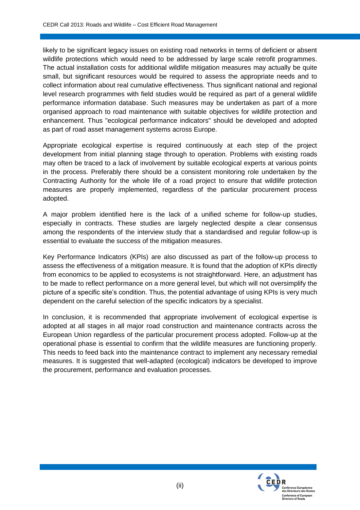likely to be significant legacy issues on existing road networks in terms of deficient or absent wildlife protections which would need to be addressed by large scale retrofit programmes. The actual installation costs for additional wildlife mitigation measures may actually be quite small, but significant resources would be required to assess the appropriate needs and to collect information about real cumulative effectiveness. Thus significant national and regional level research programmes with field studies would be required as part of a general wildlife performance information database. Such measures may be undertaken as part of a more organised approach to road maintenance with suitable objectives for wildlife protection and enhancement. Thus "ecological performance indicators" should be developed and adopted as part of road asset management systems across Europe.

Appropriate ecological expertise is required continuously at each step of the project development from initial planning stage through to operation. Problems with existing roads may often be traced to a lack of involvement by suitable ecological experts at various points in the process. Preferably there should be a consistent monitoring role undertaken by the Contracting Authority for the whole life of a road project to ensure that wildlife protection measures are properly implemented, regardless of the particular procurement process adopted.

A major problem identified here is the lack of a unified scheme for follow-up studies, especially in contracts. These studies are largely neglected despite a clear consensus among the respondents of the interview study that a standardised and regular follow-up is essential to evaluate the success of the mitigation measures.

Key Performance Indicators (KPIs) are also discussed as part of the follow-up process to assess the effectiveness of a mitigation measure. It is found that the adoption of KPIs directly from economics to be applied to ecosystems is not straightforward. Here, an adjustment has to be made to reflect performance on a more general level, but which will not oversimplify the picture of a specific site's condition. Thus, the potential advantage of using KPIs is very much dependent on the careful selection of the specific indicators by a specialist.

In conclusion, it is recommended that appropriate involvement of ecological expertise is adopted at all stages in all major road construction and maintenance contracts across the European Union regardless of the particular procurement process adopted. Follow-up at the operational phase is essential to confirm that the wildlife measures are functioning properly. This needs to feed back into the maintenance contract to implement any necessary remedial measures. It is suggested that well-adapted (ecological) indicators be developed to improve the procurement, performance and evaluation processes.

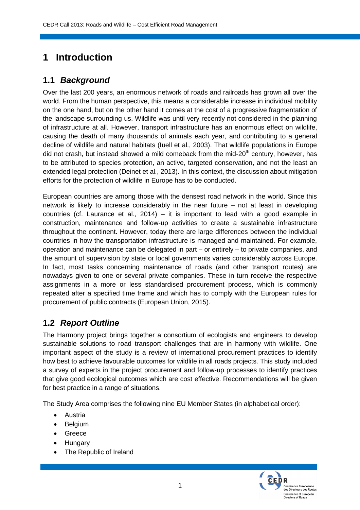## **1 Introduction**

## **1.1** *Background*

Over the last 200 years, an enormous network of roads and railroads has grown all over the world. From the human perspective, this means a considerable increase in individual mobility on the one hand, but on the other hand it comes at the cost of a progressive fragmentation of the landscape surrounding us. Wildlife was until very recently not considered in the planning of infrastructure at all. However, transport infrastructure has an enormous effect on wildlife, causing the death of many thousands of animals each year, and contributing to a general decline of wildlife and natural habitats (Iuell et al., 2003). That wildlife populations in Europe did not crash, but instead showed a mild comeback from the mid-20<sup>th</sup> century, however, has to be attributed to species protection, an active, targeted conservation, and not the least an extended legal protection (Deinet et al., 2013). In this context, the discussion about mitigation efforts for the protection of wildlife in Europe has to be conducted.

European countries are among those with the densest road network in the world. Since this network is likely to increase considerably in the near future – not at least in developing countries (cf. Laurance et al., 2014) – it is important to lead with a good example in construction, maintenance and follow-up activities to create a sustainable infrastructure throughout the continent. However, today there are large differences between the individual countries in how the transportation infrastructure is managed and maintained. For example, operation and maintenance can be delegated in part – or entirely – to private companies, and the amount of supervision by state or local governments varies considerably across Europe. In fact, most tasks concerning maintenance of roads (and other transport routes) are nowadays given to one or several private companies. These in turn receive the respective assignments in a more or less standardised procurement process, which is commonly repeated after a specified time frame and which has to comply with the European rules for procurement of public contracts (European Union, 2015).

## **1.2** *Report Outline*

The Harmony project brings together a consortium of ecologists and engineers to develop sustainable solutions to road transport challenges that are in harmony with wildlife. One important aspect of the study is a review of international procurement practices to identify how best to achieve favourable outcomes for wildlife in all roads projects. This study included a survey of experts in the project procurement and follow-up processes to identify practices that give good ecological outcomes which are cost effective. Recommendations will be given for best practice in a range of situations.

The Study Area comprises the following nine EU Member States (in alphabetical order):

- Austria
- Belgium
- Greece
- Hungary
- The Republic of Ireland

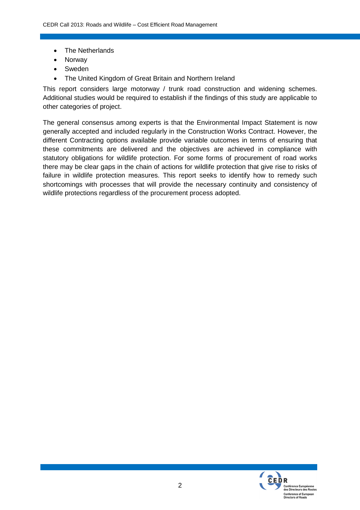- The Netherlands
- Norway
- Sweden
- The United Kingdom of Great Britain and Northern Ireland

This report considers large motorway / trunk road construction and widening schemes. Additional studies would be required to establish if the findings of this study are applicable to other categories of project.

The general consensus among experts is that the Environmental Impact Statement is now generally accepted and included regularly in the Construction Works Contract. However, the different Contracting options available provide variable outcomes in terms of ensuring that these commitments are delivered and the objectives are achieved in compliance with statutory obligations for wildlife protection. For some forms of procurement of road works there may be clear gaps in the chain of actions for wildlife protection that give rise to risks of failure in wildlife protection measures. This report seeks to identify how to remedy such shortcomings with processes that will provide the necessary continuity and consistency of wildlife protections regardless of the procurement process adopted.

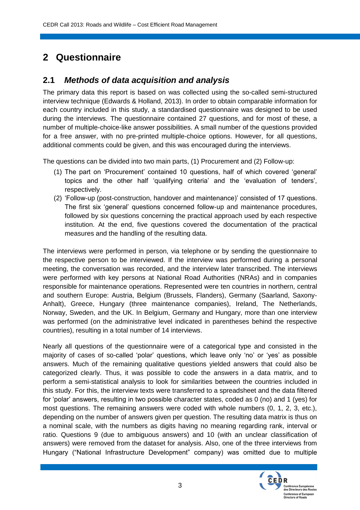## **2 Questionnaire**

### **2.1** *Methods of data acquisition and analysis*

The primary data this report is based on was collected using the so-called semi-structured interview technique (Edwards & Holland, 2013). In order to obtain comparable information for each country included in this study, a standardised questionnaire was designed to be used during the interviews. The questionnaire contained 27 questions, and for most of these, a number of multiple-choice-like answer possibilities. A small number of the questions provided for a free answer, with no pre-printed multiple-choice options. However, for all questions, additional comments could be given, and this was encouraged during the interviews.

The questions can be divided into two main parts, (1) Procurement and (2) Follow-up:

- (1) The part on 'Procurement' contained 10 questions, half of which covered 'general' topics and the other half 'qualifying criteria' and the 'evaluation of tenders', respectively.
- (2) 'Follow-up (post-construction, handover and maintenance)' consisted of 17 questions. The first six 'general' questions concerned follow-up and maintenance procedures, followed by six questions concerning the practical approach used by each respective institution. At the end, five questions covered the documentation of the practical measures and the handling of the resulting data.

The interviews were performed in person, via telephone or by sending the questionnaire to the respective person to be interviewed. If the interview was performed during a personal meeting, the conversation was recorded, and the interview later transcribed. The interviews were performed with key persons at National Road Authorities (NRAs) and in companies responsible for maintenance operations. Represented were ten countries in northern, central and southern Europe: Austria, Belgium (Brussels, Flanders), Germany (Saarland, Saxony-Anhalt), Greece, Hungary (three maintenance companies), Ireland, The Netherlands, Norway, Sweden, and the UK. In Belgium, Germany and Hungary, more than one interview was performed (on the administrative level indicated in parentheses behind the respective countries), resulting in a total number of 14 interviews.

Nearly all questions of the questionnaire were of a categorical type and consisted in the majority of cases of so-called 'polar' questions, which leave only 'no' or 'yes' as possible answers. Much of the remaining qualitative questions yielded answers that could also be categorized clearly. Thus, it was possible to code the answers in a data matrix, and to perform a semi-statistical analysis to look for similarities between the countries included in this study. For this, the interview texts were transferred to a spreadsheet and the data filtered for 'polar' answers, resulting in two possible character states, coded as 0 (no) and 1 (yes) for most questions. The remaining answers were coded with whole numbers (0, 1, 2, 3, etc.), depending on the number of answers given per question. The resulting data matrix is thus on a nominal scale, with the numbers as digits having no meaning regarding rank, interval or ratio. Questions 9 (due to ambiguous answers) and 10 (with an unclear classification of answers) were removed from the dataset for analysis. Also, one of the three interviews from Hungary ("National Infrastructure Development" company) was omitted due to multiple

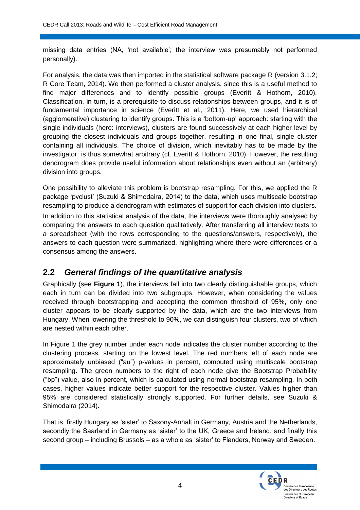missing data entries (NA, 'not available'; the interview was presumably not performed personally).

For analysis, the data was then imported in the statistical software package R (version 3.1.2; R Core Team, 2014). We then performed a cluster analysis, since this is a useful method to find major differences and to identify possible groups (Everitt & Hothorn, 2010). Classification, in turn, is a prerequisite to discuss relationships between groups, and it is of fundamental importance in science (Everitt et al., 2011). Here, we used hierarchical (agglomerative) clustering to identify groups. This is a 'bottom-up' approach: starting with the single individuals (here: interviews), clusters are found successively at each higher level by grouping the closest individuals and groups together, resulting in one final, single cluster containing all individuals. The choice of division, which inevitably has to be made by the investigator, is thus somewhat arbitrary (cf. Everitt & Hothorn, 2010). However, the resulting dendrogram does provide useful information about relationships even without an (arbitrary) division into groups.

One possibility to alleviate this problem is bootstrap resampling. For this, we applied the R package 'pvclust' (Suzuki & Shimodaira, 2014) to the data, which uses multiscale bootstrap resampling to produce a dendrogram with estimates of support for each division into clusters.

In addition to this statistical analysis of the data, the interviews were thoroughly analysed by comparing the answers to each question qualitatively. After transferring all interview texts to a spreadsheet (with the rows corresponding to the questions/answers, respectively), the answers to each question were summarized, highlighting where there were differences or a consensus among the answers.

## **2.2** *General findings of the quantitative analysis*

Graphically (see **Figure 1**), the interviews fall into two clearly distinguishable groups, which each in turn can be divided into two subgroups. However, when considering the values received through bootstrapping and accepting the common threshold of 95%, only one cluster appears to be clearly supported by the data, which are the two interviews from Hungary. When lowering the threshold to 90%, we can distinguish four clusters, two of which are nested within each other.

In Figure 1 the grey number under each node indicates the cluster number according to the clustering process, starting on the lowest level. The red numbers left of each node are approximately unbiased ("au") p-values in percent, computed using multiscale bootstrap resampling. The green numbers to the right of each node give the Bootstrap Probability ("bp") value, also in percent, which is calculated using normal bootstrap resampling. In both cases, higher values indicate better support for the respective cluster. Values higher than 95% are considered statistically strongly supported. For further details, see Suzuki & Shimodaira (2014).

That is, firstly Hungary as 'sister' to Saxony-Anhalt in Germany, Austria and the Netherlands, secondly the Saarland in Germany as 'sister' to the UK, Greece and Ireland, and finally this second group – including Brussels – as a whole as 'sister' to Flanders, Norway and Sweden.

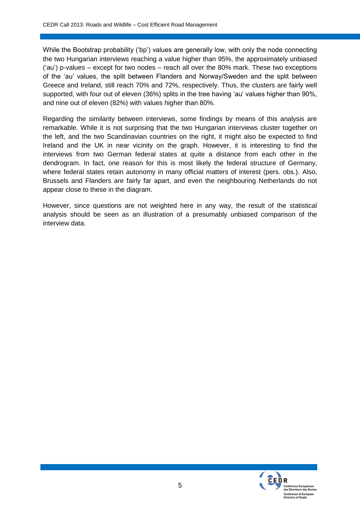While the Bootstrap probability ('bp') values are generally low, with only the node connecting the two Hungarian interviews reaching a value higher than 95%, the approximately unbiased ('au') p-values – except for two nodes – reach all over the 80% mark. These two exceptions of the 'au' values, the split between Flanders and Norway/Sweden and the split between Greece and Ireland, still reach 70% and 72%, respectively. Thus, the clusters are fairly well supported, with four out of eleven (36%) splits in the tree having 'au' values higher than 90%, and nine out of eleven (82%) with values higher than 80%.

Regarding the similarity between interviews, some findings by means of this analysis are remarkable. While it is not surprising that the two Hungarian interviews cluster together on the left, and the two Scandinavian countries on the right, it might also be expected to find Ireland and the UK in near vicinity on the graph. However, it is interesting to find the interviews from two German federal states at quite a distance from each other in the dendrogram. In fact, one reason for this is most likely the federal structure of Germany, where federal states retain autonomy in many official matters of interest (pers. obs.). Also, Brussels and Flanders are fairly far apart, and even the neighbouring Netherlands do not appear close to these in the diagram.

However, since questions are not weighted here in any way, the result of the statistical analysis should be seen as an illustration of a presumably unbiased comparison of the interview data.

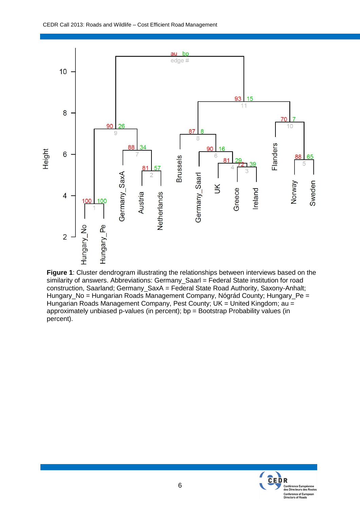

**Figure 1**: Cluster dendrogram illustrating the relationships between interviews based on the similarity of answers. Abbreviations: Germany\_Saarl = Federal State institution for road construction, Saarland; Germany\_SaxA = Federal State Road Authority, Saxony-Anhalt; Hungary\_No = Hungarian Roads Management Company, Nógrád County; Hungary\_Pe = Hungarian Roads Management Company, Pest County; UK = United Kingdom; au = approximately unbiased p-values (in percent); bp = Bootstrap Probability values (in percent).

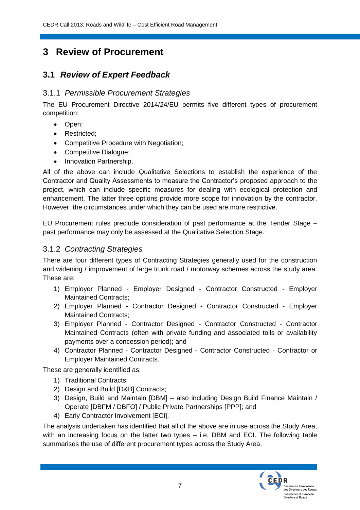## **3 Review of Procurement**

## **3.1** *Review of Expert Feedback*

#### 3.1.1 *Permissible Procurement Strategies*

The EU Procurement Directive 2014/24/EU permits five different types of procurement competition:

- Open;
- Restricted;
- Competitive Procedure with Negotiation;
- Competitive Dialogue;
- Innovation Partnership.

All of the above can include Qualitative Selections to establish the experience of the Contractor and Quality Assessments to measure the Contractor's proposed approach to the project, which can include specific measures for dealing with ecological protection and enhancement. The latter three options provide more scope for innovation by the contractor. However, the circumstances under which they can be used are more restrictive.

EU Procurement rules preclude consideration of past performance at the Tender Stage – past performance may only be assessed at the Qualitative Selection Stage.

#### 3.1.2 *Contracting Strategies*

There are four different types of Contracting Strategies generally used for the construction and widening / improvement of large trunk road / motorway schemes across the study area. These are:

- 1) Employer Planned Employer Designed Contractor Constructed Employer Maintained Contracts;
- 2) Employer Planned Contractor Designed Contractor Constructed Employer Maintained Contracts;
- 3) Employer Planned Contractor Designed Contractor Constructed Contractor Maintained Contracts (often with private funding and associated tolls or availability payments over a concession period); and
- 4) Contractor Planned Contractor Designed Contractor Constructed Contractor or Employer Maintained Contracts.

These are generally identified as:

- 1) Traditional Contracts;
- 2) Design and Build [D&B] Contracts;
- 3) Design, Build and Maintain [DBM] also including Design Build Finance Maintain / Operate [DBFM / DBFO] / Public Private Partnerships [PPP]; and
- 4) Early Contractor Involvement [ECI].

The analysis undertaken has identified that all of the above are in use across the Study Area, with an increasing focus on the latter two types – i.e. DBM and ECI. The following table summarises the use of different procurement types across the Study Area.

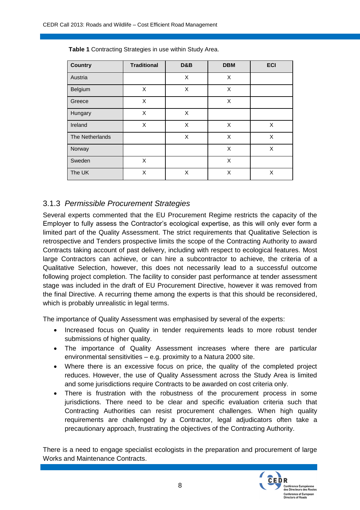| <b>Country</b>  | <b>Traditional</b> | D&B | <b>DBM</b> | <b>ECI</b> |
|-----------------|--------------------|-----|------------|------------|
| Austria         |                    | X   | X          |            |
| Belgium         | X                  | X   | X          |            |
| Greece          | X                  |     | X          |            |
| Hungary         | X                  | X   |            |            |
| Ireland         | X                  | X   | X          | X          |
| The Netherlands |                    | X   | X          | X          |
| Norway          |                    |     | X          | X          |
| Sweden          | X                  |     | X          |            |
| The UK          | X                  | X   | X          | X          |

**Table 1** Contracting Strategies in use within Study Area.

### 3.1.3 *Permissible Procurement Strategies*

Several experts commented that the EU Procurement Regime restricts the capacity of the Employer to fully assess the Contractor's ecological expertise, as this will only ever form a limited part of the Quality Assessment. The strict requirements that Qualitative Selection is retrospective and Tenders prospective limits the scope of the Contracting Authority to award Contracts taking account of past delivery, including with respect to ecological features. Most large Contractors can achieve, or can hire a subcontractor to achieve, the criteria of a Qualitative Selection, however, this does not necessarily lead to a successful outcome following project completion. The facility to consider past performance at tender assessment stage was included in the draft of EU Procurement Directive, however it was removed from the final Directive. A recurring theme among the experts is that this should be reconsidered, which is probably unrealistic in legal terms.

The importance of Quality Assessment was emphasised by several of the experts:

- Increased focus on Quality in tender requirements leads to more robust tender submissions of higher quality.
- The importance of Quality Assessment increases where there are particular environmental sensitivities – e.g. proximity to a Natura 2000 site.
- Where there is an excessive focus on price, the quality of the completed project reduces. However, the use of Quality Assessment across the Study Area is limited and some jurisdictions require Contracts to be awarded on cost criteria only.
- There is frustration with the robustness of the procurement process in some jurisdictions. There need to be clear and specific evaluation criteria such that Contracting Authorities can resist procurement challenges. When high quality requirements are challenged by a Contractor, legal adjudicators often take a precautionary approach, frustrating the objectives of the Contracting Authority.

There is a need to engage specialist ecologists in the preparation and procurement of large Works and Maintenance Contracts.

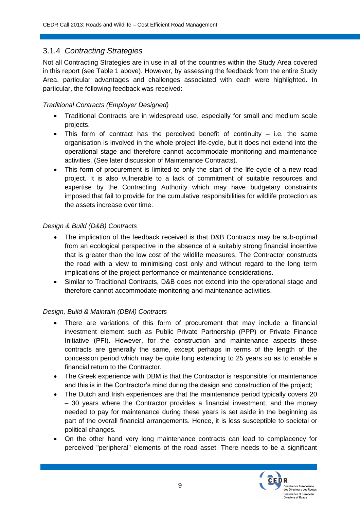### 3.1.4 *Contracting Strategies*

Not all Contracting Strategies are in use in all of the countries within the Study Area covered in this report (see Table 1 above). However, by assessing the feedback from the entire Study Area, particular advantages and challenges associated with each were highlighted. In particular, the following feedback was received:

#### *Traditional Contracts (Employer Designed)*

- Traditional Contracts are in widespread use, especially for small and medium scale projects.
- $\bullet$  This form of contract has the perceived benefit of continuity  $-$  i.e. the same organisation is involved in the whole project life-cycle, but it does not extend into the operational stage and therefore cannot accommodate monitoring and maintenance activities. (See later discussion of Maintenance Contracts).
- This form of procurement is limited to only the start of the life-cycle of a new road project. It is also vulnerable to a lack of commitment of suitable resources and expertise by the Contracting Authority which may have budgetary constraints imposed that fail to provide for the cumulative responsibilities for wildlife protection as the assets increase over time.

#### *Design & Build (D&B) Contracts*

- The implication of the feedback received is that D&B Contracts may be sub-optimal from an ecological perspective in the absence of a suitably strong financial incentive that is greater than the low cost of the wildlife measures. The Contractor constructs the road with a view to minimising cost only and without regard to the long term implications of the project performance or maintenance considerations.
- Similar to Traditional Contracts, D&B does not extend into the operational stage and therefore cannot accommodate monitoring and maintenance activities.

#### *Design, Build & Maintain (DBM) Contracts*

- There are variations of this form of procurement that may include a financial investment element such as Public Private Partnership (PPP) or Private Finance Initiative (PFI). However, for the construction and maintenance aspects these contracts are generally the same, except perhaps in terms of the length of the concession period which may be quite long extending to 25 years so as to enable a financial return to the Contractor.
- The Greek experience with DBM is that the Contractor is responsible for maintenance and this is in the Contractor's mind during the design and construction of the project;
- The Dutch and Irish experiences are that the maintenance period typically covers 20 – 30 years where the Contractor provides a financial investment, and the money needed to pay for maintenance during these years is set aside in the beginning as part of the overall financial arrangements. Hence, it is less susceptible to societal or political changes.
- On the other hand very long maintenance contracts can lead to complacency for perceived "peripheral" elements of the road asset. There needs to be a significant

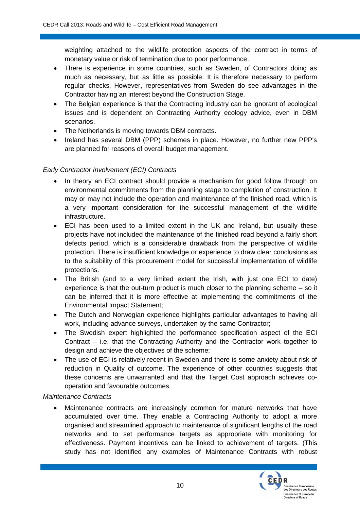weighting attached to the wildlife protection aspects of the contract in terms of monetary value or risk of termination due to poor performance.

- There is experience in some countries, such as Sweden, of Contractors doing as much as necessary, but as little as possible. It is therefore necessary to perform regular checks. However, representatives from Sweden do see advantages in the Contractor having an interest beyond the Construction Stage.
- The Belgian experience is that the Contracting industry can be ignorant of ecological issues and is dependent on Contracting Authority ecology advice, even in DBM scenarios.
- The Netherlands is moving towards DBM contracts.
- Ireland has several DBM (PPP) schemes in place. However, no further new PPP's are planned for reasons of overall budget management.

#### *Early Contractor Involvement (ECI) Contracts*

- In theory an ECI contract should provide a mechanism for good follow through on environmental commitments from the planning stage to completion of construction. It may or may not include the operation and maintenance of the finished road, which is a very important consideration for the successful management of the wildlife infrastructure.
- ECI has been used to a limited extent in the UK and Ireland, but usually these projects have not included the maintenance of the finished road beyond a fairly short defects period, which is a considerable drawback from the perspective of wildlife protection. There is insufficient knowledge or experience to draw clear conclusions as to the suitability of this procurement model for successful implementation of wildlife protections.
- The British (and to a very limited extent the Irish, with just one ECI to date) experience is that the out-turn product is much closer to the planning scheme – so it can be inferred that it is more effective at implementing the commitments of the Environmental Impact Statement;
- The Dutch and Norwegian experience highlights particular advantages to having all work, including advance surveys, undertaken by the same Contractor;
- The Swedish expert highlighted the performance specification aspect of the ECI Contract – i.e. that the Contracting Authority and the Contractor work together to design and achieve the objectives of the scheme;
- The use of ECI is relatively recent in Sweden and there is some anxiety about risk of reduction in Quality of outcome. The experience of other countries suggests that these concerns are unwarranted and that the Target Cost approach achieves cooperation and favourable outcomes.

#### *Maintenance Contracts*

 Maintenance contracts are increasingly common for mature networks that have accumulated over time. They enable a Contracting Authority to adopt a more organised and streamlined approach to maintenance of significant lengths of the road networks and to set performance targets as appropriate with monitoring for effectiveness. Payment incentives can be linked to achievement of targets. (This study has not identified any examples of Maintenance Contracts with robust

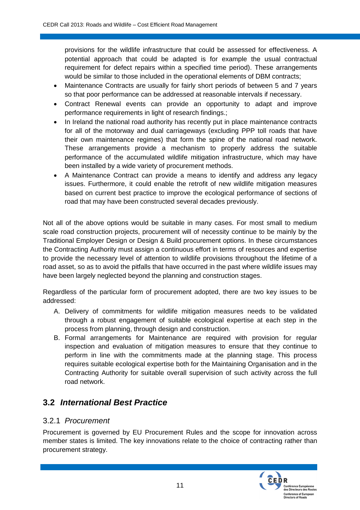provisions for the wildlife infrastructure that could be assessed for effectiveness. A potential approach that could be adapted is for example the usual contractual requirement for defect repairs within a specified time period). These arrangements would be similar to those included in the operational elements of DBM contracts;

- Maintenance Contracts are usually for fairly short periods of between 5 and 7 years so that poor performance can be addressed at reasonable intervals if necessary.
- Contract Renewal events can provide an opportunity to adapt and improve performance requirements in light of research findings.;
- In Ireland the national road authority has recently put in place maintenance contracts for all of the motorway and dual carriageways (excluding PPP toll roads that have their own maintenance regimes) that form the spine of the national road network. These arrangements provide a mechanism to properly address the suitable performance of the accumulated wildlife mitigation infrastructure, which may have been installed by a wide variety of procurement methods.
- A Maintenance Contract can provide a means to identify and address any legacy issues. Furthermore, it could enable the retrofit of new wildlife mitigation measures based on current best practice to improve the ecological performance of sections of road that may have been constructed several decades previously.

Not all of the above options would be suitable in many cases. For most small to medium scale road construction projects, procurement will of necessity continue to be mainly by the Traditional Employer Design or Design & Build procurement options. In these circumstances the Contracting Authority must assign a continuous effort in terms of resources and expertise to provide the necessary level of attention to wildlife provisions throughout the lifetime of a road asset, so as to avoid the pitfalls that have occurred in the past where wildlife issues may have been largely neglected beyond the planning and construction stages.

Regardless of the particular form of procurement adopted, there are two key issues to be addressed:

- A. Delivery of commitments for wildlife mitigation measures needs to be validated through a robust engagement of suitable ecological expertise at each step in the process from planning, through design and construction.
- B. Formal arrangements for Maintenance are required with provision for regular inspection and evaluation of mitigation measures to ensure that they continue to perform in line with the commitments made at the planning stage. This process requires suitable ecological expertise both for the Maintaining Organisation and in the Contracting Authority for suitable overall supervision of such activity across the full road network.

## **3.2** *International Best Practice*

#### 3.2.1 *Procurement*

Procurement is governed by EU Procurement Rules and the scope for innovation across member states is limited. The key innovations relate to the choice of contracting rather than procurement strategy.

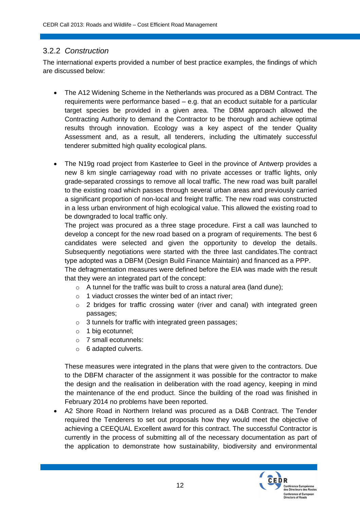#### 3.2.2 *Construction*

The international experts provided a number of best practice examples, the findings of which are discussed below:

- The A12 Widening Scheme in the Netherlands was procured as a DBM Contract. The requirements were performance based – e.g. that an ecoduct suitable for a particular target species be provided in a given area. The DBM approach allowed the Contracting Authority to demand the Contractor to be thorough and achieve optimal results through innovation. Ecology was a key aspect of the tender Quality Assessment and, as a result, all tenderers, including the ultimately successful tenderer submitted high quality ecological plans.
- The N19g road project from Kasterlee to Geel in the province of Antwerp provides a new 8 km single carriageway road with no private accesses or traffic lights, only grade-separated crossings to remove all local traffic. The new road was built parallel to the existing road which passes through several urban areas and previously carried a significant proportion of non-local and freight traffic. The new road was constructed in a less urban environment of high ecological value. This allowed the existing road to be downgraded to local traffic only.

The project was procured as a three stage procedure. First a call was launched to develop a concept for the new road based on a program of requirements. The best 6 candidates were selected and given the opportunity to develop the details. Subsequently negotiations were started with the three last candidates.The contract type adopted was a DBFM (Design Build Finance Maintain) and financed as a PPP.

The defragmentation measures were defined before the EIA was made with the result that they were an integrated part of the concept:

- $\circ$  A tunnel for the traffic was built to cross a natural area (land dune);
- o 1 viaduct crosses the winter bed of an intact river;
- o 2 bridges for traffic crossing water (river and canal) with integrated green passages;
- o 3 tunnels for traffic with integrated green passages;
- o 1 big ecotunnel;
- o 7 small ecotunnels:
- o 6 adapted culverts.

These measures were integrated in the plans that were given to the contractors. Due to the DBFM character of the assignment it was possible for the contractor to make the design and the realisation in deliberation with the road agency, keeping in mind the maintenance of the end product. Since the building of the road was finished in February 2014 no problems have been reported.

 A2 Shore Road in Northern Ireland was procured as a D&B Contract. The Tender required the Tenderers to set out proposals how they would meet the objective of achieving a CEEQUAL Excellent award for this contract. The successful Contractor is currently in the process of submitting all of the necessary documentation as part of the application to demonstrate how sustainability, biodiversity and environmental

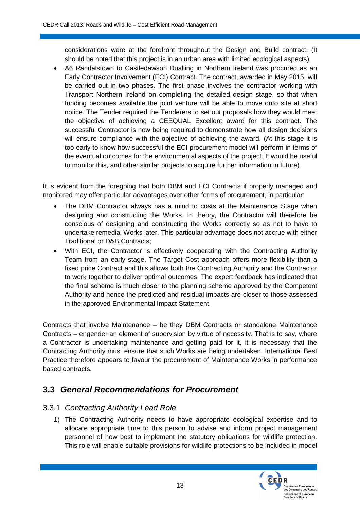considerations were at the forefront throughout the Design and Build contract. (It should be noted that this project is in an urban area with limited ecological aspects).

 A6 Randalstown to Castledawson Dualling in Northern Ireland was procured as an Early Contractor Involvement (ECI) Contract. The contract, awarded in May 2015, will be carried out in two phases. The first phase involves the contractor working with Transport Northern Ireland on completing the detailed design stage, so that when funding becomes available the joint venture will be able to move onto site at short notice. The Tender required the Tenderers to set out proposals how they would meet the objective of achieving a CEEQUAL Excellent award for this contract. The successful Contractor is now being required to demonstrate how all design decisions will ensure compliance with the objective of achieving the award. (At this stage it is too early to know how successful the ECI procurement model will perform in terms of the eventual outcomes for the environmental aspects of the project. It would be useful to monitor this, and other similar projects to acquire further information in future).

It is evident from the foregoing that both DBM and ECI Contracts if properly managed and monitored may offer particular advantages over other forms of procurement, in particular:

- The DBM Contractor always has a mind to costs at the Maintenance Stage when designing and constructing the Works. In theory, the Contractor will therefore be conscious of designing and constructing the Works correctly so as not to have to undertake remedial Works later. This particular advantage does not accrue with either Traditional or D&B Contracts;
- With ECI, the Contractor is effectively cooperating with the Contracting Authority Team from an early stage. The Target Cost approach offers more flexibility than a fixed price Contract and this allows both the Contracting Authority and the Contractor to work together to deliver optimal outcomes. The expert feedback has indicated that the final scheme is much closer to the planning scheme approved by the Competent Authority and hence the predicted and residual impacts are closer to those assessed in the approved Environmental Impact Statement.

Contracts that involve Maintenance – be they DBM Contracts or standalone Maintenance Contracts – engender an element of supervision by virtue of necessity. That is to say, where a Contractor is undertaking maintenance and getting paid for it, it is necessary that the Contracting Authority must ensure that such Works are being undertaken. International Best Practice therefore appears to favour the procurement of Maintenance Works in performance based contracts.

## **3.3** *General Recommendations for Procurement*

#### 3.3.1 *Contracting Authority Lead Role*

1) The Contracting Authority needs to have appropriate ecological expertise and to allocate appropriate time to this person to advise and inform project management personnel of how best to implement the statutory obligations for wildlife protection. This role will enable suitable provisions for wildlife protections to be included in model

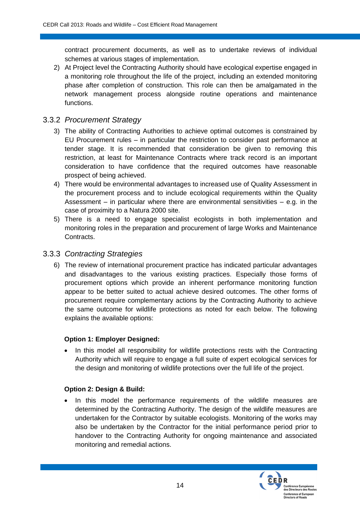contract procurement documents, as well as to undertake reviews of individual schemes at various stages of implementation.

2) At Project level the Contracting Authority should have ecological expertise engaged in a monitoring role throughout the life of the project, including an extended monitoring phase after completion of construction. This role can then be amalgamated in the network management process alongside routine operations and maintenance functions.

#### 3.3.2 *Procurement Strategy*

- 3) The ability of Contracting Authorities to achieve optimal outcomes is constrained by EU Procurement rules – in particular the restriction to consider past performance at tender stage. It is recommended that consideration be given to removing this restriction, at least for Maintenance Contracts where track record is an important consideration to have confidence that the required outcomes have reasonable prospect of being achieved.
- 4) There would be environmental advantages to increased use of Quality Assessment in the procurement process and to include ecological requirements within the Quality Assessment – in particular where there are environmental sensitivities – e.g. in the case of proximity to a Natura 2000 site.
- 5) There is a need to engage specialist ecologists in both implementation and monitoring roles in the preparation and procurement of large Works and Maintenance Contracts.

#### 3.3.3 *Contracting Strategies*

6) The review of international procurement practice has indicated particular advantages and disadvantages to the various existing practices. Especially those forms of procurement options which provide an inherent performance monitoring function appear to be better suited to actual achieve desired outcomes. The other forms of procurement require complementary actions by the Contracting Authority to achieve the same outcome for wildlife protections as noted for each below. The following explains the available options:

#### **Option 1: Employer Designed:**

• In this model all responsibility for wildlife protections rests with the Contracting Authority which will require to engage a full suite of expert ecological services for the design and monitoring of wildlife protections over the full life of the project.

#### **Option 2: Design & Build:**

• In this model the performance requirements of the wildlife measures are determined by the Contracting Authority. The design of the wildlife measures are undertaken for the Contractor by suitable ecologists. Monitoring of the works may also be undertaken by the Contractor for the initial performance period prior to handover to the Contracting Authority for ongoing maintenance and associated monitoring and remedial actions.

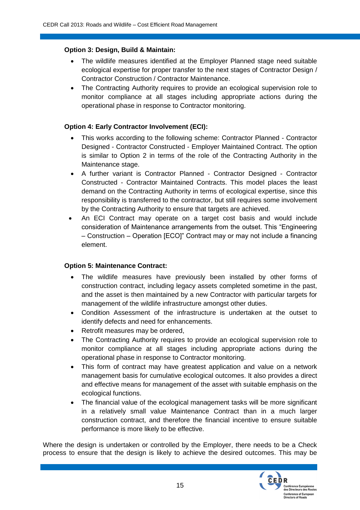#### **Option 3: Design, Build & Maintain:**

- The wildlife measures identified at the Employer Planned stage need suitable ecological expertise for proper transfer to the next stages of Contractor Design / Contractor Construction / Contractor Maintenance.
- The Contracting Authority requires to provide an ecological supervision role to monitor compliance at all stages including appropriate actions during the operational phase in response to Contractor monitoring.

#### **Option 4: Early Contractor Involvement (ECI):**

- This works according to the following scheme: Contractor Planned Contractor Designed - Contractor Constructed - Employer Maintained Contract. The option is similar to Option 2 in terms of the role of the Contracting Authority in the Maintenance stage.
- A further variant is Contractor Planned Contractor Designed Contractor Constructed - Contractor Maintained Contracts. This model places the least demand on the Contracting Authority in terms of ecological expertise, since this responsibility is transferred to the contractor, but still requires some involvement by the Contracting Authority to ensure that targets are achieved.
- An ECI Contract may operate on a target cost basis and would include consideration of Maintenance arrangements from the outset. This "Engineering – Construction – Operation [ECO]" Contract may or may not include a financing element.

#### **Option 5: Maintenance Contract:**

- The wildlife measures have previously been installed by other forms of construction contract, including legacy assets completed sometime in the past, and the asset is then maintained by a new Contractor with particular targets for management of the wildlife infrastructure amongst other duties.
- Condition Assessment of the infrastructure is undertaken at the outset to identify defects and need for enhancements.
- Retrofit measures may be ordered,
- The Contracting Authority requires to provide an ecological supervision role to monitor compliance at all stages including appropriate actions during the operational phase in response to Contractor monitoring.
- This form of contract may have greatest application and value on a network management basis for cumulative ecological outcomes. It also provides a direct and effective means for management of the asset with suitable emphasis on the ecological functions.
- The financial value of the ecological management tasks will be more significant in a relatively small value Maintenance Contract than in a much larger construction contract, and therefore the financial incentive to ensure suitable performance is more likely to be effective.

Where the design is undertaken or controlled by the Employer, there needs to be a Check process to ensure that the design is likely to achieve the desired outcomes. This may be

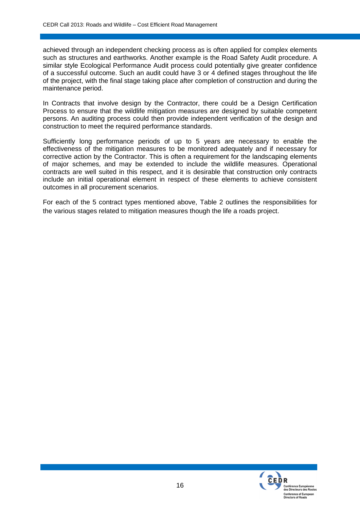achieved through an independent checking process as is often applied for complex elements such as structures and earthworks. Another example is the Road Safety Audit procedure. A similar style Ecological Performance Audit process could potentially give greater confidence of a successful outcome. Such an audit could have 3 or 4 defined stages throughout the life of the project, with the final stage taking place after completion of construction and during the maintenance period.

In Contracts that involve design by the Contractor, there could be a Design Certification Process to ensure that the wildlife mitigation measures are designed by suitable competent persons. An auditing process could then provide independent verification of the design and construction to meet the required performance standards.

Sufficiently long performance periods of up to 5 years are necessary to enable the effectiveness of the mitigation measures to be monitored adequately and if necessary for corrective action by the Contractor. This is often a requirement for the landscaping elements of major schemes, and may be extended to include the wildlife measures. Operational contracts are well suited in this respect, and it is desirable that construction only contracts include an initial operational element in respect of these elements to achieve consistent outcomes in all procurement scenarios.

For each of the 5 contract types mentioned above, [Table](#page-21-0) 2 outlines the responsibilities for the various stages related to mitigation measures though the life a roads project.

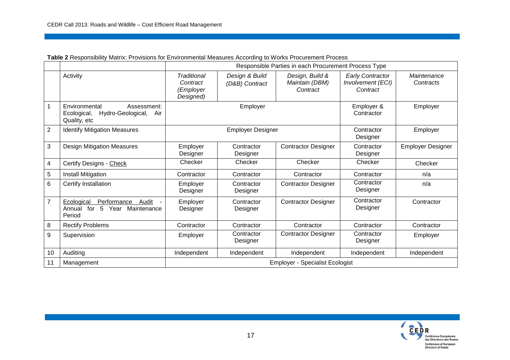<span id="page-21-0"></span>

|                |                                                                                         | Responsible Parties in each Procurement Process Type |                                  |                                               |                                                          |                          |  |
|----------------|-----------------------------------------------------------------------------------------|------------------------------------------------------|----------------------------------|-----------------------------------------------|----------------------------------------------------------|--------------------------|--|
|                | Activity                                                                                | Traditional<br>Contract<br>(Employer<br>Designed)    | Design & Build<br>(D&B) Contract | Design, Build &<br>Maintain (DBM)<br>Contract | <b>Early Contractor</b><br>Involvement (ECI)<br>Contract | Maintenance<br>Contracts |  |
| 1              | Environmental<br>Assessment:<br>Hydro-Geological,<br>Ecological,<br>Air<br>Quality, etc | Employer                                             |                                  |                                               | Employer &<br>Contractor                                 | Employer                 |  |
| $\overline{2}$ | <b>Identify Mitigation Measures</b>                                                     | <b>Employer Designer</b>                             |                                  |                                               | Contractor<br>Designer                                   | Employer                 |  |
| 3              | <b>Design Mitigation Measures</b>                                                       | Employer<br>Designer                                 | Contractor<br>Designer           | <b>Contractor Designer</b>                    | Contractor<br>Designer                                   | <b>Employer Designer</b> |  |
| 4              | Certify Designs - Check                                                                 | Checker                                              | Checker                          | Checker                                       | Checker                                                  | Checker                  |  |
| 5              | <b>Install Mitigation</b>                                                               | Contractor                                           | Contractor                       | Contractor                                    | Contractor                                               | n/a                      |  |
| 6              | Certify Installation                                                                    | Employer<br>Designer                                 | Contractor<br>Designer           | <b>Contractor Designer</b>                    | Contractor<br>Designer                                   | n/a                      |  |
| $\overline{7}$ | Performance<br>Ecological<br>Audit<br>for<br>5 Year<br>Maintenance<br>Annual<br>Period  | Employer<br>Designer                                 | Contractor<br>Designer           | <b>Contractor Designer</b>                    | Contractor<br>Designer                                   | Contractor               |  |
| 8              | <b>Rectify Problems</b>                                                                 | Contractor                                           | Contractor                       | Contractor                                    | Contractor                                               | Contractor               |  |
| 9              | Supervision                                                                             | Employer                                             | Contractor<br>Designer           | <b>Contractor Designer</b>                    | Contractor<br>Designer                                   | Employer                 |  |
| 10             | Auditing                                                                                | Independent                                          | Independent                      | Independent                                   | Independent                                              | Independent              |  |
| 11             | Management                                                                              | <b>Employer - Specialist Ecologist</b>               |                                  |                                               |                                                          |                          |  |

**Table 2** Responsibility Matrix: Provisions for Environmental Measures According to Works Procurement Process

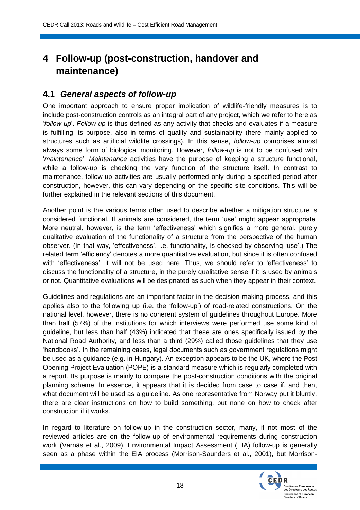## **4 Follow-up (post-construction, handover and maintenance)**

### **4.1** *General aspects of follow-up*

One important approach to ensure proper implication of wildlife-friendly measures is to include post-construction controls as an integral part of any project, which we refer to here as '*follow-up*'. *Follow-up* is thus defined as any activity that checks and evaluates if a measure is fulfilling its purpose, also in terms of quality and sustainability (here mainly applied to structures such as artificial wildlife crossings). In this sense, *follow-up* comprises almost always some form of biological monitoring. However, *follow-up* is not to be confused with '*maintenance*'. *Maintenance* activities have the purpose of keeping a structure functional, while a follow-up is checking the very function of the structure itself. In contrast to maintenance, follow-up activities are usually performed only during a specified period after construction, however, this can vary depending on the specific site conditions. This will be further explained in the relevant sections of this document.

Another point is the various terms often used to describe whether a mitigation structure is considered functional. If animals are considered, the term 'use' might appear appropriate. More neutral, however, is the term 'effectiveness' which signifies a more general, purely qualitative evaluation of the functionality of a structure from the perspective of the human observer. (In that way, 'effectiveness', i.e. functionality, is checked by observing 'use'.) The related term 'efficiency' denotes a more quantitative evaluation, but since it is often confused with 'effectiveness', it will not be used here. Thus, we should refer to 'effectiveness' to discuss the functionality of a structure, in the purely qualitative sense if it is used by animals or not. Quantitative evaluations will be designated as such when they appear in their context.

Guidelines and regulations are an important factor in the decision-making process, and this applies also to the following up (i.e. the 'follow-up') of road-related constructions. On the national level, however, there is no coherent system of guidelines throughout Europe. More than half (57%) of the institutions for which interviews were performed use some kind of guideline, but less than half (43%) indicated that these are ones specifically issued by the National Road Authority, and less than a third (29%) called those guidelines that they use 'handbooks'. In the remaining cases, legal documents such as government regulations might be used as a guidance (e.g. in Hungary). An exception appears to be the UK, where the Post Opening Project Evaluation (POPE) is a standard measure which is regularly completed with a report. Its purpose is mainly to compare the post-construction conditions with the original planning scheme. In essence, it appears that it is decided from case to case if, and then, what document will be used as a guideline. As one representative from Norway put it bluntly, there are clear instructions on how to build something, but none on how to check after construction if it works.

In regard to literature on follow-up in the construction sector, many, if not most of the reviewed articles are on the follow-up of environmental requirements during construction work (Varnäs et al., 2009). Environmental Impact Assessment (EIA) follow-up is generally seen as a phase within the EIA process (Morrison-Saunders et al., 2001), but Morrison-

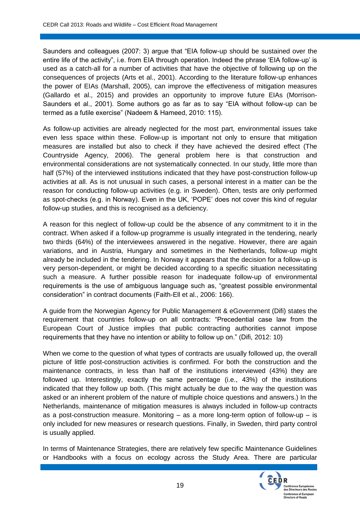Saunders and colleagues (2007: 3) argue that "EIA follow-up should be sustained over the entire life of the activity", i.e. from EIA through operation. Indeed the phrase 'EIA follow-up' is used as a catch-all for a number of activities that have the objective of following up on the consequences of projects (Arts et al., 2001). According to the literature follow-up enhances the power of EIAs (Marshall, 2005), can improve the effectiveness of mitigation measures (Gallardo et al., 2015) and provides an opportunity to improve future EIAs (Morrison-Saunders et al., 2001). Some authors go as far as to say "EIA without follow-up can be termed as a futile exercise" (Nadeem & Hameed, 2010: 115).

As follow-up activities are already neglected for the most part, environmental issues take even less space within these. Follow-up is important not only to ensure that mitigation measures are installed but also to check if they have achieved the desired effect (The Countryside Agency, 2006). The general problem here is that construction and environmental considerations are not systematically connected. In our study, little more than half (57%) of the interviewed institutions indicated that they have post-construction follow-up activities at all. As is not unusual in such cases, a personal interest in a matter can be the reason for conducting follow-up activities (e.g. in Sweden). Often, tests are only performed as spot-checks (e.g. in Norway). Even in the UK, 'POPE' does not cover this kind of regular follow-up studies, and this is recognised as a deficiency.

A reason for this neglect of follow-up could be the absence of any commitment to it in the contract. When asked if a follow-up programme is usually integrated in the tendering, nearly two thirds (64%) of the interviewees answered in the negative. However, there are again variations, and in Austria, Hungary and sometimes in the Netherlands, follow-up might already be included in the tendering. In Norway it appears that the decision for a follow-up is very person-dependent, or might be decided according to a specific situation necessitating such a measure. A further possible reason for inadequate follow-up of environmental requirements is the use of ambiguous language such as, "greatest possible environmental consideration" in contract documents (Faith-Ell et al., 2006: 166).

A guide from the Norwegian Agency for Public Management & eGovernment (Difi) states the requirement that countries follow-up on all contracts: "Precedential case law from the European Court of Justice implies that public contracting authorities cannot impose requirements that they have no intention or ability to follow up on." (Difi, 2012: 10)

When we come to the question of what types of contracts are usually followed up, the overall picture of little post-construction activities is confirmed. For both the construction and the maintenance contracts, in less than half of the institutions interviewed (43%) they are followed up. Interestingly, exactly the same percentage (i.e., 43%) of the institutions indicated that they follow up both. (This might actually be due to the way the question was asked or an inherent problem of the nature of multiple choice questions and answers.) In the Netherlands, maintenance of mitigation measures is always included in follow-up contracts as a post-construction measure. Monitoring – as a more long-term option of follow-up – is only included for new measures or research questions. Finally, in Sweden, third party control is usually applied.

In terms of Maintenance Strategies, there are relatively few specific Maintenance Guidelines or Handbooks with a focus on ecology across the Study Area. There are particular

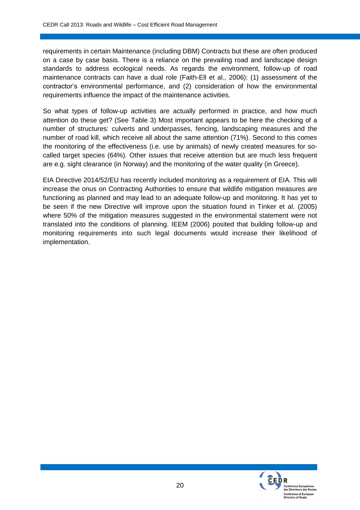requirements in certain Maintenance (including DBM) Contracts but these are often produced on a case by case basis. There is a reliance on the prevailing road and landscape design standards to address ecological needs. As regards the environment, follow-up of road maintenance contracts can have a dual role (Faith-Ell et al., 2006): (1) assessment of the contractor's environmental performance, and (2) consideration of how the environmental requirements influence the impact of the maintenance activities.

So what types of follow-up activities are actually performed in practice, and how much attention do these get? (See Table 3) Most important appears to be here the checking of a number of structures: culverts and underpasses, fencing, landscaping measures and the number of road kill, which receive all about the same attention (71%). Second to this comes the monitoring of the effectiveness (i.e. use by animals) of newly created measures for socalled target species (64%). Other issues that receive attention but are much less frequent are e.g. sight clearance (in Norway) and the monitoring of the water quality (in Greece).

EIA Directive 2014/52/EU has recently included monitoring as a requirement of EIA. This will increase the onus on Contracting Authorities to ensure that wildlife mitigation measures are functioning as planned and may lead to an adequate follow-up and monitoring. It has yet to be seen if the new Directive will improve upon the situation found in Tinker et al. (2005) where 50% of the mitigation measures suggested in the environmental statement were not translated into the conditions of planning. IEEM (2006) posited that building follow-up and monitoring requirements into such legal documents would increase their likelihood of implementation.

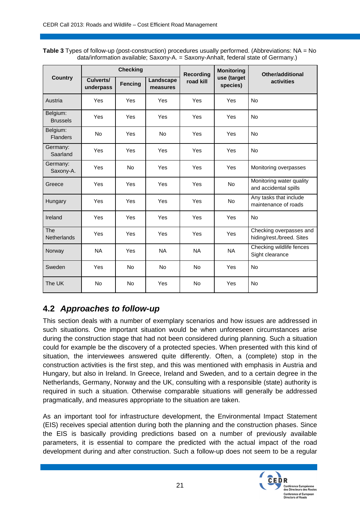**Table 3** Types of follow-up (post-construction) procedures usually performed. (Abbreviations: NA = No data/information available; Saxony-A. = Saxony-Anhalt, federal state of Germany.)

|                                  |                        | <b>Checking</b> |                       | <b>Recording</b> | <b>Monitoring</b>       | <b>Other/additional</b>                              |
|----------------------------------|------------------------|-----------------|-----------------------|------------------|-------------------------|------------------------------------------------------|
| <b>Country</b>                   | Culverts/<br>underpass | <b>Fencing</b>  | Landscape<br>measures | road kill        | use (target<br>species) | activities                                           |
| Austria                          | Yes                    | Yes             | Yes                   | Yes              | Yes                     | <b>No</b>                                            |
| Belgium:<br><b>Brussels</b>      | Yes                    | Yes             | Yes                   | Yes              | Yes                     | <b>No</b>                                            |
| Belgium:<br><b>Flanders</b>      | <b>No</b>              | Yes             | <b>No</b>             | Yes              | Yes                     | <b>No</b>                                            |
| Germany:<br>Saarland             | Yes                    | Yes             | Yes                   | Yes              | Yes                     | <b>No</b>                                            |
| Germany:<br>Saxony-A.            | Yes                    | <b>No</b>       | Yes                   | Yes              | Yes                     | Monitoring overpasses                                |
| Greece                           | Yes                    | Yes             | Yes                   | Yes              | <b>No</b>               | Monitoring water quality<br>and accidental spills    |
| Hungary                          | Yes                    | Yes             | Yes                   | Yes              | <b>No</b>               | Any tasks that include<br>maintenance of roads       |
| Ireland                          | Yes                    | Yes             | Yes                   | Yes              | Yes                     | <b>No</b>                                            |
| <b>The</b><br><b>Netherlands</b> | Yes                    | Yes             | Yes                   | Yes              | Yes                     | Checking overpasses and<br>hiding/rest./breed. Sites |
| Norway                           | <b>NA</b>              | Yes             | <b>NA</b>             | <b>NA</b>        | <b>NA</b>               | Checking wildlife fences<br>Sight clearance          |
| Sweden                           | Yes                    | <b>No</b>       | <b>No</b>             | <b>No</b>        | Yes                     | <b>No</b>                                            |
| The UK                           | <b>No</b>              | <b>No</b>       | Yes                   | <b>No</b>        | Yes                     | <b>No</b>                                            |

## **4.2** *Approaches to follow-up*

This section deals with a number of exemplary scenarios and how issues are addressed in such situations. One important situation would be when unforeseen circumstances arise during the construction stage that had not been considered during planning. Such a situation could for example be the discovery of a protected species. When presented with this kind of situation, the interviewees answered quite differently. Often, a (complete) stop in the construction activities is the first step, and this was mentioned with emphasis in Austria and Hungary, but also in Ireland. In Greece, Ireland and Sweden, and to a certain degree in the Netherlands, Germany, Norway and the UK, consulting with a responsible (state) authority is required in such a situation. Otherwise comparable situations will generally be addressed pragmatically, and measures appropriate to the situation are taken.

As an important tool for infrastructure development, the Environmental Impact Statement (EIS) receives special attention during both the planning and the construction phases. Since the EIS is basically providing predictions based on a number of previously available parameters, it is essential to compare the predicted with the actual impact of the road development during and after construction. Such a follow-up does not seem to be a regular

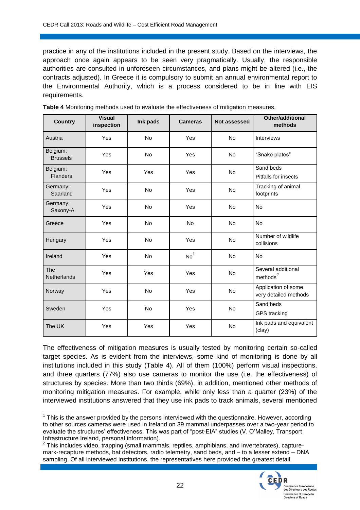practice in any of the institutions included in the present study. Based on the interviews, the approach once again appears to be seen very pragmatically. Usually, the responsible authorities are consulted in unforeseen circumstances, and plans might be altered (i.e., the contracts adjusted). In Greece it is compulsory to submit an annual environmental report to the Environmental Authority, which is a process considered to be in line with EIS requirements.

| <b>Country</b>              | <b>Visual</b><br>inspection | Ink pads  | <b>Cameras</b>  | Not assessed | Other/additional<br>methods                  |
|-----------------------------|-----------------------------|-----------|-----------------|--------------|----------------------------------------------|
| Austria                     | Yes                         | <b>No</b> | Yes             | No           | <b>Interviews</b>                            |
| Belgium:<br><b>Brussels</b> | Yes                         | No        | Yes             | <b>No</b>    | "Snake plates"                               |
| Belgium:<br><b>Flanders</b> | Yes                         | Yes       | Yes             | <b>No</b>    | Sand beds<br><b>Pitfalls for insects</b>     |
| Germany:<br>Saarland        | Yes                         | <b>No</b> | Yes             | <b>No</b>    | Tracking of animal<br>footprints             |
| Germany:<br>Saxony-A.       | Yes                         | No        | Yes             | <b>No</b>    | <b>No</b>                                    |
| Greece                      | Yes                         | <b>No</b> | <b>No</b>       | <b>No</b>    | <b>No</b>                                    |
| Hungary                     | Yes                         | No        | Yes             | No           | Number of wildlife<br>collisions             |
| Ireland                     | Yes                         | <b>No</b> | No <sup>1</sup> | No           | <b>No</b>                                    |
| The<br>Netherlands          | Yes                         | Yes       | Yes             | <b>No</b>    | Several additional<br>methods <sup>2</sup>   |
| Norway                      | Yes                         | <b>No</b> | Yes             | <b>No</b>    | Application of some<br>very detailed methods |
| Sweden                      | Yes                         | <b>No</b> | Yes             | <b>No</b>    | Sand beds<br><b>GPS</b> tracking             |
| The UK                      | Yes                         | Yes       | Yes             | No           | Ink pads and equivalent<br>(clay)            |

**Table 4** Monitoring methods used to evaluate the effectiveness of mitigation measures.

The effectiveness of mitigation measures is usually tested by monitoring certain so-called target species. As is evident from the interviews, some kind of monitoring is done by all institutions included in this study (Table 4). All of them (100%) perform visual inspections, and three quarters (77%) also use cameras to monitor the use (i.e. the effectiveness) of structures by species. More than two thirds (69%), in addition, mentioned other methods of monitoring mitigation measures. For example, while only less than a quarter (23%) of the interviewed institutions answered that they use ink pads to track animals, several mentioned

 $2$  This includes video, trapping (small mammals, reptiles, amphibians, and invertebrates), capturemark-recapture methods, bat detectors, radio telemetry, sand beds, and – to a lesser extend – DNA sampling. Of all interviewed institutions, the representatives here provided the greatest detail.



This is the answer provided by the persons interviewed with the questionnaire. However, according<br>This is the answer provided by the persons interviewed with the questionnaire. However, according to other sources cameras were used in Ireland on 39 mammal underpasses over a two-year period to evaluate the structures' effectiveness. This was part of "post-EIA" studies (V. O'Malley, Transport Infrastructure Ireland, personal information).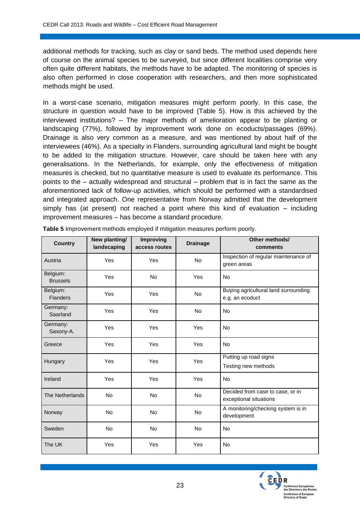additional methods for tracking, such as clay or sand beds. The method used depends here of course on the animal species to be surveyed, but since different localities comprise very often quite different habitats, the methods have to be adapted. The monitoring of species is also often performed in close cooperation with researchers, and then more sophisticated methods might be used.

In a worst-case scenario, mitigation measures might perform poorly. In this case, the structure in question would have to be improved (Table 5). How is this achieved by the interviewed institutions? – The major methods of amelioration appear to be planting or landscaping (77%), followed by improvement work done on ecoducts/passages (69%). Drainage is also very common as a measure, and was mentioned by about half of the interviewees (46%). As a specialty in Flanders, surrounding agricultural land might be bought to be added to the mitigation structure. However, care should be taken here with any generalisations. In the Netherlands, for example, only the effectiveness of mitigation measures is checked, but no quantitative measure is used to evaluate its performance. This points to the – actually widespread and structural – problem that is in fact the same as the aforementioned lack of follow-up activities, which should be performed with a standardised and integrated approach. One representative from Norway admitted that the development simply has (at present) not reached a point where this kind of evaluation – including improvement measures – has become a standard procedure.

| <b>Country</b>              | New planting/<br>landscaping | <b>Improving</b><br>access routes | <b>Drainage</b> | Other methods/<br>comments                                 |
|-----------------------------|------------------------------|-----------------------------------|-----------------|------------------------------------------------------------|
| Austria                     | Yes                          | Yes                               | <b>No</b>       | Inspection of regular maintenance of<br>green areas        |
| Belgium:<br><b>Brussels</b> | Yes                          | <b>No</b>                         | Yes             | <b>No</b>                                                  |
| Belgium:<br><b>Flanders</b> | Yes                          | Yes                               | <b>No</b>       | Buying agricultural land surrounding<br>e.g. an ecoduct    |
| Germany:<br>Saarland        | Yes                          | Yes                               | No              | <b>No</b>                                                  |
| Germany:<br>Saxony-A.       | Yes                          | Yes                               | Yes             | <b>No</b>                                                  |
| Greece                      | Yes                          | Yes                               | Yes             | <b>No</b>                                                  |
| Hungary                     | Yes                          | Yes                               | Yes             | Putting up road signs<br>Testing new methods               |
| Ireland                     | Yes                          | Yes                               | Yes             | <b>No</b>                                                  |
| <b>The Netherlands</b>      | <b>No</b>                    | <b>No</b>                         | <b>No</b>       | Decided from case to case, or in<br>exceptional situations |
| Norway                      | <b>No</b>                    | <b>No</b>                         | No              | A monitoring/checking system is in<br>development          |
| Sweden                      | <b>No</b>                    | No                                | No              | <b>No</b>                                                  |
| The UK                      | Yes                          | Yes                               | Yes             | <b>No</b>                                                  |

**Table 5** Improvement methods employed if mitigation measures perform poorly.

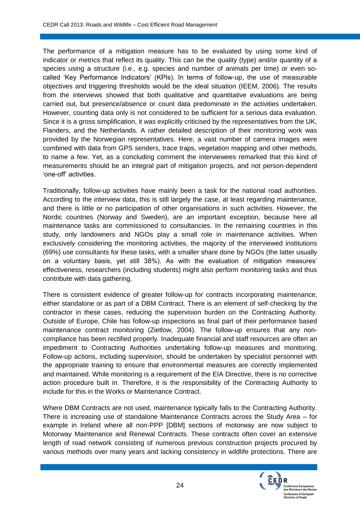The performance of a mitigation measure has to be evaluated by using some kind of indicator or metrics that reflect its quality. This can be the quality (type) and/or quantity of a species using a structure (i.e., e.g. species and number of animals per time) or even socalled 'Key Performance Indicators' (KPIs). In terms of follow-up, the use of measurable objectives and triggering thresholds would be the ideal situation (IEEM, 2006). The results from the interviews showed that both qualitative and quantitative evaluations are being carried out, but presence/absence or count data predominate in the activities undertaken. However, counting data only is not considered to be sufficient for a serious data evaluation. Since it is a gross simplification, it was explicitly criticised by the representatives from the UK, Flanders, and the Netherlands. A rather detailed description of their monitoring work was provided by the Norwegian representatives. Here, a vast number of camera images were combined with data from GPS senders, trace traps, vegetation mapping and other methods, to name a few. Yet, as a concluding comment the interviewees remarked that this kind of measurements should be an integral part of mitigation projects, and not person-dependent 'one-off' activities.

Traditionally, follow-up activities have mainly been a task for the national road authorities. According to the interview data, this is still largely the case, at least regarding maintenance, and there is little or no participation of other organisations in such activities. However, the Nordic countries (Norway and Sweden), are an important exception, because here all maintenance tasks are commissioned to consultancies. In the remaining countries in this study, only landowners and NGOs play a small role in maintenance activities. When exclusively considering the monitoring activities, the majority of the interviewed institutions (69%) use consultants for these tasks, with a smaller share done by NGOs (the latter usually on a voluntary basis, yet still 38%). As with the evaluation of mitigation measures' effectiveness, researchers (including students) might also perform monitoring tasks and thus contribute with data gathering.

There is consistent evidence of greater follow-up for contracts incorporating maintenance, either standalone or as part of a DBM Contract. There is an element of self-checking by the contractor in these cases, reducing the supervision burden on the Contracting Authority. Outside of Europe, Chile has follow-up inspections as final part of their performance based maintenance contract monitoring (Zietlow, 2004). The follow-up ensures that any noncompliance has been rectified properly. Inadequate financial and staff resources are often an impediment to Contracting Authorities undertaking follow-up measures and monitoring. Follow-up actions, including supervision, should be undertaken by specialist personnel with the appropriate training to ensure that environmental measures are correctly implemented and maintained. While monitoring is a requirement of the EIA Directive, there is no corrective action procedure built in. Therefore, it is the responsibility of the Contracting Authority to include for this in the Works or Maintenance Contract.

Where DBM Contracts are not used, maintenance typically falls to the Contracting Authority. There is increasing use of standalone Maintenance Contracts across the Study Area – for example in Ireland where all non-PPP [DBM] sections of motorway are now subject to Motorway Maintenance and Renewal Contracts. These contracts often cover an extensive length of road network consisting of numerous previous construction projects procured by various methods over many years and lacking consistency in wildlife protections. There are

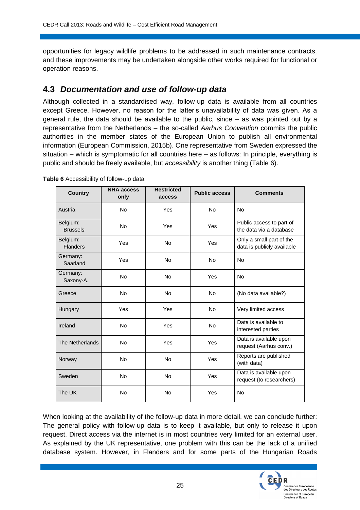opportunities for legacy wildlife problems to be addressed in such maintenance contracts, and these improvements may be undertaken alongside other works required for functional or operation reasons.

### **4.3** *Documentation and use of follow-up data*

Although collected in a standardised way, follow-up data is available from all countries except Greece. However, no reason for the latter's unavailability of data was given. As a general rule, the data should be available to the public, since – as was pointed out by a representative from the Netherlands – the so-called *Aarhus Convention* commits the public authorities in the member states of the European Union to publish all environmental information (European Commission, 2015b). One representative from Sweden expressed the situation – which is symptomatic for all countries here – as follows: In principle, everything is public and should be freely available, but *accessibility* is another thing (Table 6).

| <b>Country</b>              | <b>NRA access</b><br>only | <b>Restricted</b><br>access | <b>Public access</b> | <b>Comments</b>                                        |
|-----------------------------|---------------------------|-----------------------------|----------------------|--------------------------------------------------------|
| Austria                     | <b>No</b>                 | Yes                         | <b>No</b>            | <b>No</b>                                              |
| Belgium:<br><b>Brussels</b> | <b>No</b>                 | Yes                         | Yes                  | Public access to part of<br>the data via a database    |
| Belgium:<br><b>Flanders</b> | Yes                       | <b>No</b>                   | Yes                  | Only a small part of the<br>data is publicly available |
| Germany:<br>Saarland        | Yes                       | <b>No</b>                   | <b>No</b>            | <b>No</b>                                              |
| Germany:<br>Saxony-A.       | <b>No</b>                 | <b>No</b>                   | Yes                  | <b>No</b>                                              |
| Greece                      | <b>No</b>                 | <b>No</b>                   | <b>No</b>            | (No data available?)                                   |
| Hungary                     | Yes                       | Yes                         | <b>No</b>            | Very limited access                                    |
| Ireland                     | <b>No</b>                 | Yes                         | <b>No</b>            | Data is available to<br>interested parties             |
| The Netherlands             | <b>No</b>                 | Yes                         | Yes                  | Data is available upon<br>request (Aarhus conv.)       |
| Norway                      | <b>No</b>                 | <b>No</b>                   | Yes                  | Reports are published<br>(with data)                   |
| Sweden                      | <b>No</b>                 | <b>No</b>                   | Yes                  | Data is available upon<br>request (to researchers)     |
| The UK                      | <b>No</b>                 | <b>No</b>                   | Yes                  | <b>No</b>                                              |

**Table 6** Accessibility of follow-up data

When looking at the availability of the follow-up data in more detail, we can conclude further: The general policy with follow-up data is to keep it available, but only to release it upon request. Direct access via the internet is in most countries very limited for an external user. As explained by the UK representative, one problem with this can be the lack of a unified database system. However, in Flanders and for some parts of the Hungarian Roads

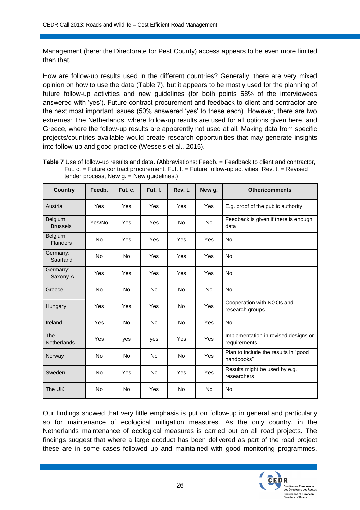Management (here: the Directorate for Pest County) access appears to be even more limited than that.

How are follow-up results used in the different countries? Generally, there are very mixed opinion on how to use the data (Table 7), but it appears to be mostly used for the planning of future follow-up activities and new guidelines (for both points 58% of the interviewees answered with 'yes'). Future contract procurement and feedback to client and contractor are the next most important issues (50% answered 'yes' to these each). However, there are two extremes: The Netherlands, where follow-up results are used for all options given here, and Greece, where the follow-up results are apparently not used at all. Making data from specific projects/countries available would create research opportunities that may generate insights into follow-up and good practice (Wessels et al., 2015).

Table 7 Use of follow-up results and data. (Abbreviations: Feedb. = Feedback to client and contractor, Fut. c. = Future contract procurement, Fut. f. = Future follow-up activities, Rev. t. = Revised tender process, New g. = New guidelines.)

| <b>Country</b>                   | Feedb.     | Fut. c.   | Fut. f.   | Rev. t.   | New g.    | <b>Other/comments</b>                                |
|----------------------------------|------------|-----------|-----------|-----------|-----------|------------------------------------------------------|
| Austria                          | Yes        | Yes       | Yes       | Yes       | Yes       | E.g. proof of the public authority                   |
| Belgium:<br><b>Brussels</b>      | Yes/No     | Yes       | Yes       | <b>No</b> | <b>No</b> | Feedback is given if there is enough<br>data         |
| Belgium:<br><b>Flanders</b>      | <b>No</b>  | Yes       | Yes       | Yes       | Yes       | <b>No</b>                                            |
| Germany:<br>Saarland             | <b>No</b>  | <b>No</b> | Yes       | Yes       | Yes       | <b>No</b>                                            |
| Germany:<br>Saxony-A.            | Yes        | Yes       | Yes       | Yes       | Yes       | <b>No</b>                                            |
| Greece                           | <b>No</b>  | <b>No</b> | <b>No</b> | <b>No</b> | <b>No</b> | <b>No</b>                                            |
| Hungary                          | Yes        | Yes       | Yes       | <b>No</b> | Yes       | Cooperation with NGOs and<br>research groups         |
| Ireland                          | Yes        | <b>No</b> | <b>No</b> | <b>No</b> | Yes       | <b>No</b>                                            |
| <b>The</b><br><b>Netherlands</b> | <b>Yes</b> | yes       | yes       | Yes       | Yes       | Implementation in revised designs or<br>requirements |
| Norway                           | <b>No</b>  | <b>No</b> | <b>No</b> | <b>No</b> | Yes       | Plan to include the results in "good<br>handbooks"   |
| Sweden                           | <b>No</b>  | Yes       | <b>No</b> | Yes       | Yes       | Results might be used by e.g.<br>researchers         |
| The UK                           | <b>No</b>  | <b>No</b> | Yes       | <b>No</b> | <b>No</b> | <b>No</b>                                            |

Our findings showed that very little emphasis is put on follow-up in general and particularly so for maintenance of ecological mitigation measures. As the only country, in the Netherlands maintenance of ecological measures is carried out on all road projects. The findings suggest that where a large ecoduct has been delivered as part of the road project these are in some cases followed up and maintained with good monitoring programmes.

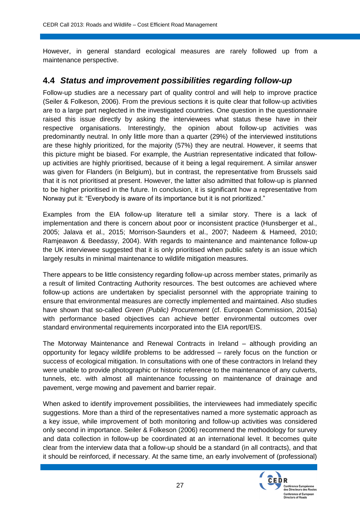However, in general standard ecological measures are rarely followed up from a maintenance perspective.

### **4.4** *Status and improvement possibilities regarding follow-up*

Follow-up studies are a necessary part of quality control and will help to improve practice (Seiler & Folkeson, 2006). From the previous sections it is quite clear that follow-up activities are to a large part neglected in the investigated countries. One question in the questionnaire raised this issue directly by asking the interviewees what status these have in their respective organisations. Interestingly, the opinion about follow-up activities was predominantly neutral. In only little more than a quarter (29%) of the interviewed institutions are these highly prioritized, for the majority (57%) they are neutral. However, it seems that this picture might be biased. For example, the Austrian representative indicated that followup activities are highly prioritised, because of it being a legal requirement. A similar answer was given for Flanders (in Belgium), but in contrast, the representative from Brussels said that it is not prioritised at present. However, the latter also admitted that follow-up is planned to be higher prioritised in the future. In conclusion, it is significant how a representative from Norway put it: "Everybody is aware of its importance but it is not prioritized."

Examples from the EIA follow-up literature tell a similar story. There is a lack of implementation and there is concern about poor or inconsistent practice (Hunsberger et al., 2005; Jalava et al., 2015; Morrison-Saunders et al., 2007; Nadeem & Hameed, 2010; Ramjeawon & Beedassy, 2004). With regards to maintenance and maintenance follow-up the UK interviewee suggested that it is only prioritised when public safety is an issue which largely results in minimal maintenance to wildlife mitigation measures.

There appears to be little consistency regarding follow-up across member states, primarily as a result of limited Contracting Authority resources. The best outcomes are achieved where follow-up actions are undertaken by specialist personnel with the appropriate training to ensure that environmental measures are correctly implemented and maintained. Also studies have shown that so-called *Green (Public) Procurement* (cf. European Commission, 2015a) with performance based objectives can achieve better environmental outcomes over standard environmental requirements incorporated into the EIA report/EIS.

The Motorway Maintenance and Renewal Contracts in Ireland – although providing an opportunity for legacy wildlife problems to be addressed – rarely focus on the function or success of ecological mitigation. In consultations with one of these contractors in Ireland they were unable to provide photographic or historic reference to the maintenance of any culverts, tunnels, etc. with almost all maintenance focussing on maintenance of drainage and pavement, verge mowing and pavement and barrier repair.

When asked to identify improvement possibilities, the interviewees had immediately specific suggestions. More than a third of the representatives named a more systematic approach as a key issue, while improvement of both monitoring and follow-up activities was considered only second in importance. Seiler & Folkeson (2006) recommend the methodology for survey and data collection in follow-up be coordinated at an international level. It becomes quite clear from the interview data that a follow-up should be a standard (in all contracts), and that it should be reinforced, if necessary. At the same time, an early involvement of (professional)

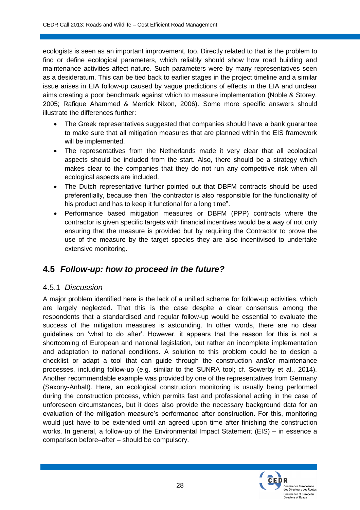ecologists is seen as an important improvement, too. Directly related to that is the problem to find or define ecological parameters, which reliably should show how road building and maintenance activities affect nature. Such parameters were by many representatives seen as a desideratum. This can be tied back to earlier stages in the project timeline and a similar issue arises in EIA follow-up caused by vague predictions of effects in the EIA and unclear aims creating a poor benchmark against which to measure implementation (Noble & Storey, 2005; Rafique Ahammed & Merrick Nixon, 2006). Some more specific answers should illustrate the differences further:

- The Greek representatives suggested that companies should have a bank guarantee to make sure that all mitigation measures that are planned within the EIS framework will be implemented.
- The representatives from the Netherlands made it very clear that all ecological aspects should be included from the start. Also, there should be a strategy which makes clear to the companies that they do not run any competitive risk when all ecological aspects are included.
- The Dutch representative further pointed out that DBFM contracts should be used preferentially, because then "the contractor is also responsible for the functionality of his product and has to keep it functional for a long time".
- Performance based mitigation measures or DBFM (PPP) contracts where the contractor is given specific targets with financial incentives would be a way of not only ensuring that the measure is provided but by requiring the Contractor to prove the use of the measure by the target species they are also incentivised to undertake extensive monitoring.

## **4.5** *Follow-up: how to proceed in the future?*

#### 4.5.1 *Discussion*

A major problem identified here is the lack of a unified scheme for follow-up activities, which are largely neglected. That this is the case despite a clear consensus among the respondents that a standardised and regular follow-up would be essential to evaluate the success of the mitigation measures is astounding. In other words, there are no clear guidelines on 'what to do after'. However, it appears that the reason for this is not a shortcoming of European and national legislation, but rather an incomplete implementation and adaptation to national conditions. A solution to this problem could be to design a checklist or adapt a tool that can guide through the construction and/or maintenance processes, including follow-up (e.g. similar to the SUNRA tool; cf. Sowerby et al., 2014). Another recommendable example was provided by one of the representatives from Germany (Saxony-Anhalt). Here, an ecological construction monitoring is usually being performed during the construction process, which permits fast and professional acting in the case of unforeseen circumstances, but it does also provide the necessary background data for an evaluation of the mitigation measure's performance after construction. For this, monitoring would just have to be extended until an agreed upon time after finishing the construction works. In general, a follow-up of the Environmental Impact Statement (EIS) – in essence a comparison before–after – should be compulsory.

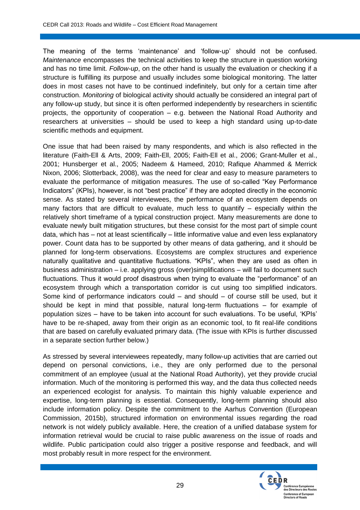The meaning of the terms 'maintenance' and 'follow-up' should not be confused. *Maintenance* encompasses the technical activities to keep the structure in question working and has no time limit. *Follow-up*, on the other hand is usually the evaluation or checking if a structure is fulfilling its purpose and usually includes some biological monitoring. The latter does in most cases not have to be continued indefinitely, but only for a certain time after construction. *Monitoring* of biological activity should actually be considered an integral part of any follow-up study, but since it is often performed independently by researchers in scientific projects, the opportunity of cooperation – e.g. between the National Road Authority and researchers at universities – should be used to keep a high standard using up-to-date scientific methods and equipment.

One issue that had been raised by many respondents, and which is also reflected in the literature (Faith-Ell & Arts, 2009; Faith-Ell, 2005; Faith-Ell et al., 2006; Grant-Muller et al., 2001; Hunsberger et al., 2005; Nadeem & Hameed, 2010; Rafique Ahammed & Merrick Nixon, 2006; Slotterback, 2008), was the need for clear and easy to measure parameters to evaluate the performance of mitigation measures. The use of so-called "Key Performance Indicators" (KPIs), however, is not "best practice" if they are adopted directly in the economic sense. As stated by several interviewees, the performance of an ecosystem depends on many factors that are difficult to evaluate, much less to quantify  $-$  especially within the relatively short timeframe of a typical construction project. Many measurements are done to evaluate newly built mitigation structures, but these consist for the most part of simple count data, which has – not at least scientifically – little informative value and even less explanatory power. Count data has to be supported by other means of data gathering, and it should be planned for long-term observations. Ecosystems are complex structures and experience naturally qualitative and quantitative fluctuations. "KPIs", when they are used as often in business administration – i.e. applying gross (over)simplifications – will fail to document such fluctuations. Thus it would proof disastrous when trying to evaluate the "performance" of an ecosystem through which a transportation corridor is cut using too simplified indicators. Some kind of performance indicators could – and should – of course still be used, but it should be kept in mind that possible, natural long-term fluctuations – for example of population sizes – have to be taken into account for such evaluations. To be useful, 'KPIs' have to be re-shaped, away from their origin as an economic tool, to fit real-life conditions that are based on carefully evaluated primary data. (The issue with KPIs is further discussed in a separate section further below.)

As stressed by several interviewees repeatedly, many follow-up activities that are carried out depend on personal convictions, i.e., they are only performed due to the personal commitment of an employee (usual at the National Road Authority), yet they provide crucial information. Much of the monitoring is performed this way, and the data thus collected needs an experienced ecologist for analysis. To maintain this highly valuable experience and expertise, long-term planning is essential. Consequently, long-term planning should also include information policy. Despite the commitment to the Aarhus Convention (European Commission, 2015b), structured information on environmental issues regarding the road network is not widely publicly available. Here, the creation of a unified database system for information retrieval would be crucial to raise public awareness on the issue of roads and wildlife. Public participation could also trigger a positive response and feedback, and will most probably result in more respect for the environment.

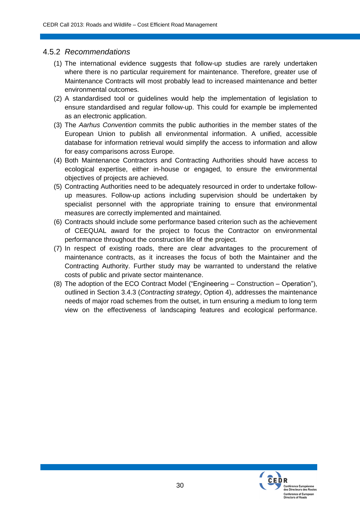#### 4.5.2 *Recommendations*

- (1) The international evidence suggests that follow-up studies are rarely undertaken where there is no particular requirement for maintenance. Therefore, greater use of Maintenance Contracts will most probably lead to increased maintenance and better environmental outcomes.
- (2) A standardised tool or guidelines would help the implementation of legislation to ensure standardised and regular follow-up. This could for example be implemented as an electronic application.
- (3) The *Aarhus Convention* commits the public authorities in the member states of the European Union to publish all environmental information. A unified, accessible database for information retrieval would simplify the access to information and allow for easy comparisons across Europe.
- (4) Both Maintenance Contractors and Contracting Authorities should have access to ecological expertise, either in-house or engaged, to ensure the environmental objectives of projects are achieved.
- (5) Contracting Authorities need to be adequately resourced in order to undertake followup measures. Follow-up actions including supervision should be undertaken by specialist personnel with the appropriate training to ensure that environmental measures are correctly implemented and maintained.
- (6) Contracts should include some performance based criterion such as the achievement of CEEQUAL award for the project to focus the Contractor on environmental performance throughout the construction life of the project.
- (7) In respect of existing roads, there are clear advantages to the procurement of maintenance contracts, as it increases the focus of both the Maintainer and the Contracting Authority. Further study may be warranted to understand the relative costs of public and private sector maintenance.
- (8) The adoption of the ECO Contract Model ("Engineering Construction Operation"), outlined in Section 3.4.3 (*Contracting strategy*, Option 4), addresses the maintenance needs of major road schemes from the outset, in turn ensuring a medium to long term view on the effectiveness of landscaping features and ecological performance.

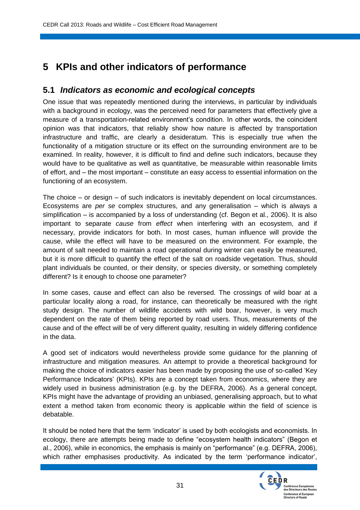## **5 KPIs and other indicators of performance**

### **5.1** *Indicators as economic and ecological concepts*

One issue that was repeatedly mentioned during the interviews, in particular by individuals with a background in ecology, was the perceived need for parameters that effectively give a measure of a transportation-related environment's condition. In other words, the coincident opinion was that indicators, that reliably show how nature is affected by transportation infrastructure and traffic, are clearly a desideratum. This is especially true when the functionality of a mitigation structure or its effect on the surrounding environment are to be examined. In reality, however, it is difficult to find and define such indicators, because they would have to be qualitative as well as quantitative, be measurable within reasonable limits of effort, and – the most important – constitute an easy access to essential information on the functioning of an ecosystem.

The choice – or design – of such indicators is inevitably dependent on local circumstances. Ecosystems are *per se* complex structures, and any generalisation – which is always a simplification – is accompanied by a loss of understanding (cf. Begon et al., 2006). It is also important to separate *cause* from *effect* when interfering with an ecosystem, and if necessary, provide indicators for both. In most cases, human influence will provide the cause, while the effect will have to be measured on the environment. For example, the amount of salt needed to maintain a road operational during winter can easily be measured, but it is more difficult to quantify the effect of the salt on roadside vegetation. Thus, should plant individuals be counted, or their density, or species diversity, or something completely different? Is it enough to choose one parameter?

In some cases, cause and effect can also be reversed. The crossings of wild boar at a particular locality along a road, for instance, can theoretically be measured with the right study design. The number of wildlife accidents with wild boar, however, is very much dependent on the rate of them being reported by road users. Thus, measurements of the cause and of the effect will be of very different quality, resulting in widely differing confidence in the data.

A good set of indicators would nevertheless provide some guidance for the planning of infrastructure and mitigation measures. An attempt to provide a theoretical background for making the choice of indicators easier has been made by proposing the use of so-called 'Key Performance Indicators' (KPIs). KPIs are a concept taken from economics, where they are widely used in business administration (e.g. by the DEFRA, 2006). As a general concept, KPIs might have the advantage of providing an unbiased, generalising approach, but to what extent a method taken from economic theory is applicable within the field of science is debatable.

It should be noted here that the term 'indicator' is used by both ecologists and economists. In ecology, there are attempts being made to define "ecosystem health indicators" (Begon et al., 2006), while in economics, the emphasis is mainly on "performance" (e.g. DEFRA, 2006), which rather emphasises productivity. As indicated by the term 'performance indicator',

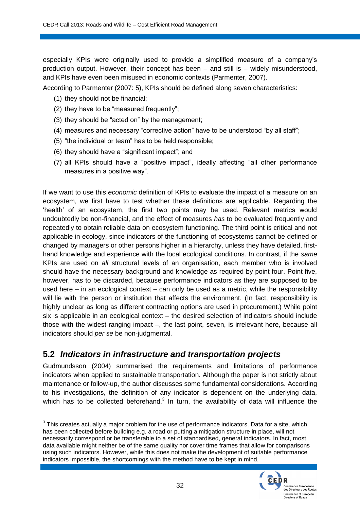especially KPIs were originally used to provide a simplified measure of a company's production output. However, their concept has been – and still is – widely misunderstood, and KPIs have even been misused in economic contexts (Parmenter, 2007).

According to Parmenter (2007: 5), KPIs should be defined along seven characteristics:

- (1) they should not be financial;
- (2) they have to be "measured frequently";
- (3) they should be "acted on" by the management;
- (4) measures and necessary "corrective action" have to be understood "by all staff";
- (5) "the individual or team" has to be held responsible;
- (6) they should have a "significant impact"; and
- (7) all KPIs should have a "positive impact", ideally affecting "all other performance measures in a positive way".

If we want to use this *economic* definition of KPIs to evaluate the impact of a measure on an ecosystem, we first have to test whether these definitions are applicable. Regarding the 'health' of an ecosystem, the first two points may be used. Relevant metrics would undoubtedly be non-financial, and the effect of measures *has* to be evaluated frequently and repeatedly to obtain reliable data on ecosystem functioning. The third point is critical and not applicable in ecology, since indicators of the functioning of ecosystems cannot be defined or changed by managers or other persons higher in a hierarchy, unless they have detailed, firsthand knowledge and experience with the local ecological conditions. In contrast, if the *same* KPIs are used on *all* structural levels of an organisation, each member who is involved should have the necessary background and knowledge as required by point four. Point five, however, has to be discarded, because performance indicators as they are supposed to be used here  $-$  in an ecological context  $-$  can only be used as a metric, while the responsibility will lie with the person or institution that affects the environment. (In fact, responsibility is highly unclear as long as different contracting options are used in procurement.) While point six is applicable in an ecological context – the desired selection of indicators should include those with the widest-ranging impact –, the last point, seven, is irrelevant here, because all indicators should *per se* be non-judgmental.

### **5.2** *Indicators in infrastructure and transportation projects*

Gudmundsson (2004) summarised the requirements and limitations of performance indicators when applied to sustainable transportation. Although the paper is not strictly about maintenance or follow-up, the author discusses some fundamental considerations. According to his investigations, the definition of any indicator is dependent on the underlying data, which has to be collected beforehand. $3$  In turn, the availability of data will influence the

 3 This creates actually a major problem for the use of performance indicators. Data for a site, which has been collected before building e.g. a road or putting a mitigation structure in place, will not necessarily correspond or be transferable to a set of standardised, general indicators. In fact, most data available might neither be of the same quality nor cover time frames that allow for comparisons using such indicators. However, while this does not make the development of suitable performance indicators impossible, the shortcomings with the method have to be kept in mind.

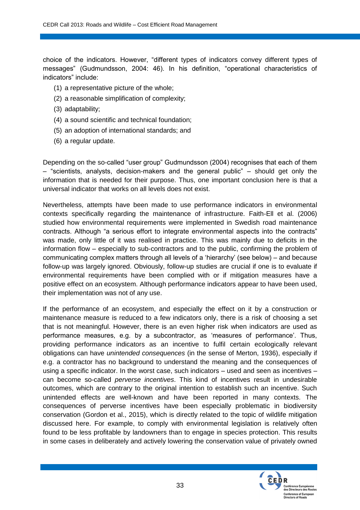choice of the indicators. However, "different types of indicators convey different types of messages" (Gudmundsson, 2004: 46). In his definition, "operational characteristics of indicators" include:

- (1) a representative picture of the whole;
- (2) a reasonable simplification of complexity;
- (3) adaptability;
- (4) a sound scientific and technical foundation;
- (5) an adoption of international standards; and
- (6) a regular update.

Depending on the so-called "user group" Gudmundsson (2004) recognises that each of them – "scientists, analysts, decision-makers and the general public" – should get only the information that is needed for their purpose. Thus, one important conclusion here is that a universal indicator that works on all levels does not exist.

Nevertheless, attempts have been made to use performance indicators in environmental contexts specifically regarding the maintenance of infrastructure. Faith-Ell et al. (2006) studied how environmental requirements were implemented in Swedish road maintenance contracts. Although "a serious effort to integrate environmental aspects into the contracts" was made, only little of it was realised in practice. This was mainly due to deficits in the information flow – especially to sub-contractors and to the public, confirming the problem of communicating complex matters through all levels of a 'hierarchy' (see below) – and because follow-up was largely ignored. Obviously, follow-up studies are crucial if one is to evaluate if environmental requirements have been complied with or if mitigation measures have a positive effect on an ecosystem. Although performance indicators appear to have been used, their implementation was not of any use.

If the performance of an ecosystem, and especially the effect on it by a construction or maintenance measure is reduced to a few indicators only, there is a risk of choosing a set that is not meaningful. However, there is an even higher risk when indicators are used as performance measures, e.g. by a subcontractor, as 'measures of performance'. Thus, providing performance indicators as an incentive to fulfil certain ecologically relevant obligations can have *unintended consequences* (in the sense of Merton, 1936), especially if e.g. a contractor has no background to understand the meaning and the consequences of using a specific indicator. In the worst case, such indicators - used and seen as incentives can become so-called *perverse incentives*. This kind of incentives result in undesirable outcomes, which are contrary to the original intention to establish such an incentive. Such unintended effects are well-known and have been reported in many contexts. The consequences of perverse incentives have been especially problematic in biodiversity conservation (Gordon et al., 2015), which is directly related to the topic of wildlife mitigation discussed here. For example, to comply with environmental legislation is relatively often found to be less profitable by landowners than to engage in species protection. This results in some cases in deliberately and actively lowering the conservation value of privately owned

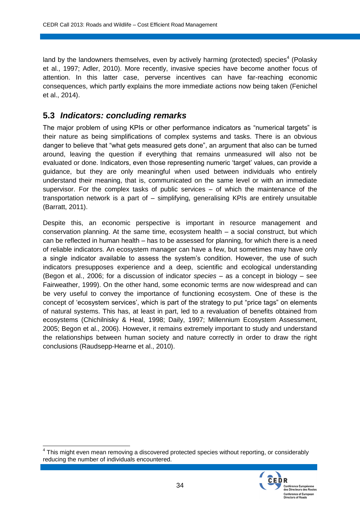land by the landowners themselves, even by actively harming (protected) species<sup>4</sup> (Polasky et al., 1997; Adler, 2010). More recently, invasive species have become another focus of attention. In this latter case, perverse incentives can have far-reaching economic consequences, which partly explains the more immediate actions now being taken (Fenichel et al., 2014).

### **5.3** *Indicators: concluding remarks*

The major problem of using KPIs or other performance indicators as "numerical targets" is their nature as being simplifications of complex systems and tasks. There is an obvious danger to believe that "what gets measured gets done", an argument that also can be turned around, leaving the question if everything that remains unmeasured will also not be evaluated or done. Indicators, even those representing numeric 'target' values, can provide a guidance, but they are only meaningful when used between individuals who entirely understand their meaning, that is, communicated on the same level or with an immediate supervisor. For the complex tasks of public services – of which the maintenance of the transportation network is a part of – simplifying, generalising KPIs are entirely unsuitable (Barratt, 2011).

Despite this, an economic perspective is important in resource management and conservation planning. At the same time, ecosystem health – a social construct, but which can be reflected in human health – has to be assessed for planning, for which there is a need of reliable indicators. An ecosystem manager can have a few, but sometimes may have only a single indicator available to assess the system's condition. However, the use of such indicators presupposes experience and a deep, scientific and ecological understanding (Begon et al., 2006; for a discussion of indicator *species* – as a concept in biology – see Fairweather, 1999). On the other hand, some economic terms are now widespread and can be very useful to convey the importance of functioning ecosystem. One of these is the concept of 'ecosystem services', which is part of the strategy to put "price tags" on elements of natural systems. This has, at least in part, led to a revaluation of benefits obtained from ecosystems (Chichilnisky & Heal, 1998; Daily, 1997; Millennium Ecosystem Assessment, 2005; Begon et al., 2006). However, it remains extremely important to study and understand the relationships between human society and nature correctly in order to draw the right conclusions (Raudsepp-Hearne et al., 2010).

<sup>————————————————————&</sup>lt;br><sup>4</sup> This might even mean removing a discovered protected species without reporting, or considerably reducing the number of individuals encountered.

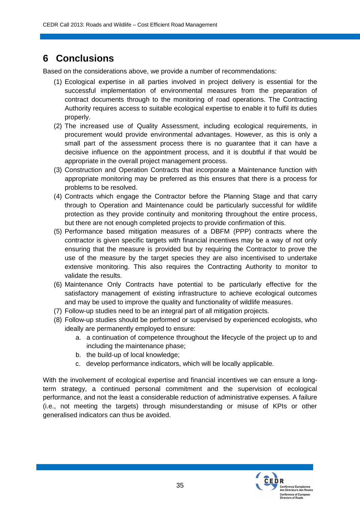## **6 Conclusions**

Based on the considerations above, we provide a number of recommendations:

- (1) Ecological expertise in all parties involved in project delivery is essential for the successful implementation of environmental measures from the preparation of contract documents through to the monitoring of road operations. The Contracting Authority requires access to suitable ecological expertise to enable it to fulfil its duties properly.
- (2) The increased use of Quality Assessment, including ecological requirements, in procurement would provide environmental advantages. However, as this is only a small part of the assessment process there is no guarantee that it can have a decisive influence on the appointment process, and it is doubtful if that would be appropriate in the overall project management process.
- (3) Construction and Operation Contracts that incorporate a Maintenance function with appropriate monitoring may be preferred as this ensures that there is a process for problems to be resolved.
- (4) Contracts which engage the Contractor before the Planning Stage and that carry through to Operation and Maintenance could be particularly successful for wildlife protection as they provide continuity and monitoring throughout the entire process, but there are not enough completed projects to provide confirmation of this.
- (5) Performance based mitigation measures of a DBFM (PPP) contracts where the contractor is given specific targets with financial incentives may be a way of not only ensuring that the measure is provided but by requiring the Contractor to prove the use of the measure by the target species they are also incentivised to undertake extensive monitoring. This also requires the Contracting Authority to monitor to validate the results.
- (6) Maintenance Only Contracts have potential to be particularly effective for the satisfactory management of existing infrastructure to achieve ecological outcomes and may be used to improve the quality and functionality of wildlife measures.
- (7) Follow-up studies need to be an integral part of all mitigation projects.
- (8) Follow-up studies should be performed or supervised by experienced ecologists, who ideally are permanently employed to ensure:
	- a. a continuation of competence throughout the lifecycle of the project up to and including the maintenance phase;
	- b. the build-up of local knowledge;
	- c. develop performance indicators, which will be locally applicable.

With the involvement of ecological expertise and financial incentives we can ensure a longterm strategy, a continued personal commitment and the supervision of ecological performance, and not the least a considerable reduction of administrative expenses. A failure (i.e., not meeting the targets) through misunderstanding or misuse of KPIs or other generalised indicators can thus be avoided.

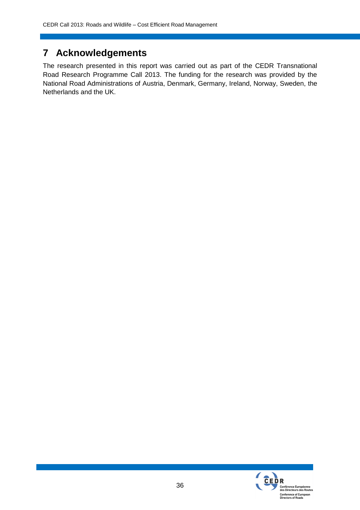## **7 Acknowledgements**

The research presented in this report was carried out as part of the CEDR Transnational Road Research Programme Call 2013. The funding for the research was provided by the National Road Administrations of Austria, Denmark, Germany, Ireland, Norway, Sweden, the Netherlands and the UK.

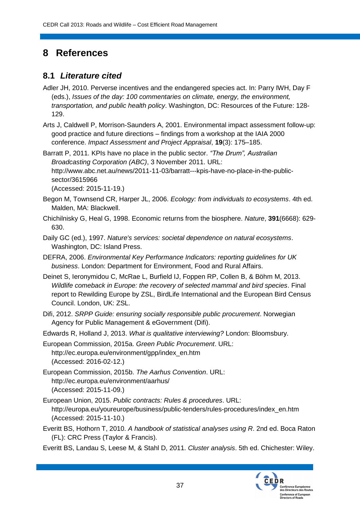## **8 References**

### **8.1** *Literature cited*

- Adler JH, 2010. Perverse incentives and the endangered species act. In: Parry IWH, Day F (eds.), *Issues of the day: 100 commentaries on climate, energy, the environment, transportation, and public health policy*. Washington, DC: Resources of the Future: 128- 129.
- Arts J, Caldwell P, Morrison-Saunders A, 2001. Environmental impact assessment follow-up: good practice and future directions – findings from a workshop at the IAIA 2000 conference. *Impact Assessment and Project Appraisal*, **19**(3): 175–185.

Barratt P, 2011. KPIs have no place in the public sector. *"The Drum", Australian Broadcasting Corporation (ABC)*, 3 November 2011. URL: http://www.abc.net.au/news/2011-11-03/barratt---kpis-have-no-place-in-the-publicsector/3615966 (Accessed: 2015-11-19.)

- Begon M, Townsend CR, Harper JL, 2006. *Ecology: from individuals to ecosystems*. 4th ed. Malden, MA: Blackwell.
- Chichilnisky G, Heal G, 1998. Economic returns from the biosphere. *Nature*, **391**(6668): 629- 630.
- Daily GC (ed.), 1997. *Nature's services: societal dependence on natural ecosystems*. Washington, DC: Island Press.
- DEFRA, 2006. *Environmental Key Performance Indicators: reporting guidelines for UK business*. London: Department for Environment, Food and Rural Affairs.
- Deinet S, Ieronymidou C, McRae L, Burfield IJ, Foppen RP, Collen B, & Böhm M, 2013. *Wildlife comeback in Europe: the recovery of selected mammal and bird species*. Final report to Rewilding Europe by ZSL, BirdLife International and the European Bird Census Council. London, UK: ZSL.
- Difi, 2012. *SRPP Guide: ensuring socially responsible public procurement*. Norwegian Agency for Public Management & eGovernment (Difi).
- Edwards R, Holland J, 2013. *What is qualitative interviewing?* London: Bloomsbury.
- European Commission, 2015a. *Green Public Procurement*. URL: http://ec.europa.eu/environment/gpp/index\_en.htm (Accessed: 2016-02-12.)
- European Commission, 2015b. *The Aarhus Convention*. URL: http://ec.europa.eu/environment/aarhus/ (Accessed: 2015-11-09.)
- European Union, 2015. *Public contracts: Rules & procedures*. URL: http://europa.eu/youreurope/business/public-tenders/rules-procedures/index\_en.htm (Accessed: 2015-11-10.)
- Everitt BS, Hothorn T, 2010. *A handbook of statistical analyses using R*. 2nd ed. Boca Raton (FL): CRC Press (Taylor & Francis).
- Everitt BS, Landau S, Leese M, & Stahl D, 2011. *Cluster analysis*. 5th ed. Chichester: Wiley.

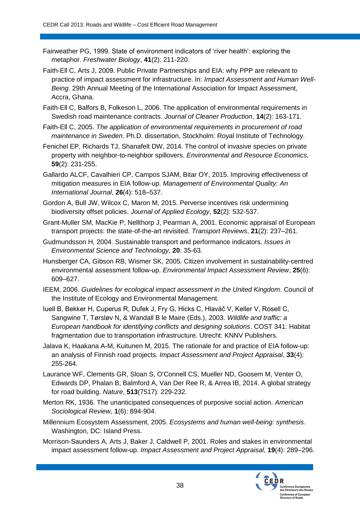- Fairweather PG, 1999. State of environment indicators of 'river health': exploring the metaphor. *Freshwater Biology*, **41**(2): 211-220.
- Faith-Ell C, Arts J, 2009. Public Private Partnerships and EIA: why PPP are relevant to practice of impact assessment for infrastructure. In: *Impact Assessment and Human Well-Being*. 29th Annual Meeting of the International Association for Impact Assessment, Accra, Ghana.
- Faith-Ell C, Balfors B, Folkeson L, 2006. The application of environmental requirements in Swedish road maintenance contracts. *Journal of Cleaner Production*, **14**(2): 163-171.
- Faith-Ell C, 2005. *The application of environmental requirements in procurement of road maintenance in Sweden*. Ph.D. dissertation, Stockholm: Royal Institute of Technology.
- Fenichel EP, Richards TJ, Shanafelt DW, 2014. The control of invasive species on private property with neighbor-to-neighbor spillovers. *Environmental and Resource Economics*, **59**(2): 231-255.
- Gallardo ALCF, Cavalhieri CP, Campos SJAM, Bitar OY, 2015. Improving effectiveness of mitigation measures in EIA follow-up. *Management of Environmental Quality: An International Journal*, **26**(4): 518–537.
- Gordon A, Bull JW, Wilcox C, Maron M, 2015. Perverse incentives risk undermining biodiversity offset policies. *Journal of Applied Ecology*, **52**(2): 532-537.
- Grant-Muller SM, MacKie P, Nellthorp J, Pearman A, 2001. Economic appraisal of European transport projects: the state-of-the-art revisited. *Transport Reviews*, **21**(2): 237–261.
- Gudmundsson H, 2004. Sustainable transport and performance indicators. *Issues in Environmental Science and Technology*, **20**: 35-63.
- Hunsberger CA, Gibson RB, Wismer SK, 2005. Citizen involvement in sustainability-centred environmental assessment follow-up. *Environmental Impact Assessment Review*, **25**(6): 609–627.
- IEEM, 2006. *Guidelines for ecological impact assessment in the United Kingdom*. Council of the Institute of Ecology and Environmental Management.
- Iuell B, Bekker H, Cuperus R, Dufek J, Fry G, Hicks C, Hlaváč V, Keller V, Rosell C, Sangwine T, Tørsløv N, & Wandall B le Maire (Eds.), 2003. *Wildlife and traffic: a European handbook for identifying conflicts and designing solutions*. COST 341: Habitat fragmentation due to transportation infrastructure. Utrecht: KNNV Publishers.
- Jalava K, Haakana A-M, Kuitunen M, 2015. The rationale for and practice of EIA follow-up: an analysis of Finnish road projects. *Impact Assessment and Project Appraisal*, **33**(4): 255-264.
- Laurance WF, Clements GR, Sloan S, O'Connell CS, Mueller ND, Goosem M, Venter O, Edwards DP, Phalan B, Balmford A, Van Der Ree R, & Arrea IB, 2014. A global strategy for road building. *Nature*, **513**(7517): 229-232.
- Merton RK, 1936. The unanticipated consequences of purposive social action. *American Sociological Review*, **1**(6): 894-904.
- Millennium Ecosystem Assessment, 2005. *Ecosystems and human well-being: synthesis*. Washington, DC: Island Press.
- Morrison-Saunders A, Arts J, Baker J, Caldwell P, 2001. Roles and stakes in environmental impact assessment follow-up. *Impact Assessment and Project Appraisal*, **19**(4): 289–296.

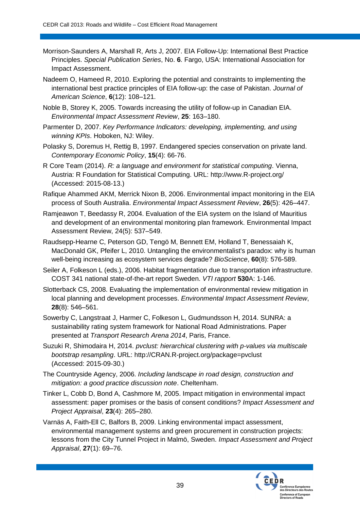- Morrison-Saunders A, Marshall R, Arts J, 2007. EIA Follow-Up: International Best Practice Principles. *Special Publication Series*, No. **6**. Fargo, USA: International Association for Impact Assessment.
- Nadeem O, Hameed R, 2010. Exploring the potential and constraints to implementing the international best practice principles of EIA follow-up: the case of Pakistan. *Journal of American Science*, **6**(12): 108–121.
- Noble B, Storey K, 2005. Towards increasing the utility of follow-up in Canadian EIA. *Environmental Impact Assessment Review*, **25**: 163–180.
- Parmenter D, 2007. *Key Performance Indicators: developing, implementing, and using winning KPIs*. Hoboken, NJ: Wiley.
- Polasky S, Doremus H, Rettig B, 1997. Endangered species conservation on private land. *Contemporary Economic Policy*, **15**(4): 66-76.
- R Core Team (2014). *R: a language and environment for statistical computing*. Vienna, Austria: R Foundation for Statistical Computing. URL: http://www.R-project.org/ (Accessed: 2015-08-13.)
- Rafique Ahammed AKM, Merrick Nixon B, 2006. Environmental impact monitoring in the EIA process of South Australia. *Environmental Impact Assessment Review*, **26**(5): 426–447.
- Ramjeawon T, Beedassy R, 2004. Evaluation of the EIA system on the Island of Mauritius and development of an environmental monitoring plan framework. Environmental Impact Assessment Review, 24(5): 537–549.
- Raudsepp-Hearne C, Peterson GD, Tengö M, Bennett EM, Holland T, Benessaiah K, MacDonald GK, Pfeifer L, 2010. Untangling the environmentalist's paradox: why is human well-being increasing as ecosystem services degrade? *BioScience*, **60**(8): 576-589.
- Seiler A, Folkeson L (eds.), 2006. Habitat fragmentation due to transportation infrastructure. COST 341 national state-of-the-art report Sweden. *VTI rapport* **530**A: 1-146.
- Slotterback CS, 2008. Evaluating the implementation of environmental review mitigation in local planning and development processes. *Environmental Impact Assessment Review*, **28**(8): 546–561.
- Sowerby C, Langstraat J, Harmer C, Folkeson L, Gudmundsson H, 2014. SUNRA: a sustainability rating system framework for National Road Administrations. Paper presented at *Transport Research Arena 2014*, Paris, France.
- Suzuki R, Shimodaira H, 2014. *pvclust: hierarchical clustering with p-values via multiscale bootstrap resampling*. URL: http://CRAN.R-project.org/package=pvclust (Accessed: 2015-09-30.)
- The Countryside Agency, 2006. *Including landscape in road design, construction and mitigation: a good practice discussion note*. Cheltenham.
- Tinker L, Cobb D, Bond A, Cashmore M, 2005. Impact mitigation in environmental impact assessment: paper promises or the basis of consent conditions? *Impact Assessment and Project Appraisal*, **23**(4): 265–280.
- Varnäs A, Faith-Ell C, Balfors B, 2009. Linking environmental impact assessment, environmental management systems and green procurement in construction projects: lessons from the City Tunnel Project in Malmö, Sweden. *Impact Assessment and Project Appraisal*, **27**(1): 69–76.

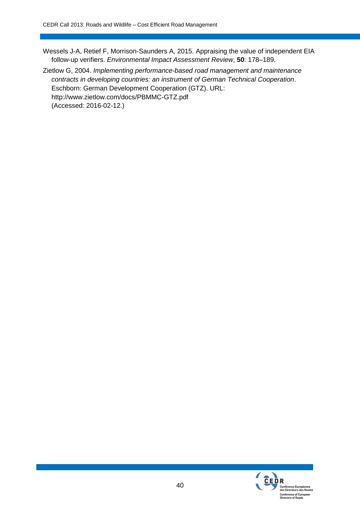Wessels J-A, Retief F, Morrison-Saunders A, 2015. Appraising the value of independent EIA follow-up verifiers. *Environmental Impact Assessment Review*, **50**: 178–189.

Zietlow G, 2004. *Implementing performance-based road management and maintenance contracts in developing countries: an instrument of German Technical Cooperation*. Eschborn: German Development Cooperation (GTZ). URL: http://www.zietlow.com/docs/PBMMC-GTZ.pdf (Accessed: 2016-02-12.)

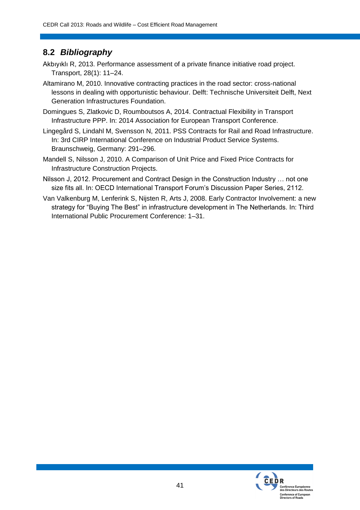## **8.2** *Bibliography*

Akbıyıklı R, 2013. Performance assessment of a private finance initiative road project. Transport, 28(1): 11–24.

- Altamirano M, 2010. Innovative contracting practices in the road sector: cross-national lessons in dealing with opportunistic behaviour. Delft: Technische Universiteit Delft, Next Generation Infrastructures Foundation.
- Domingues S, Zlatkovic D, Roumboutsos A, 2014. Contractual Flexibility in Transport Infrastructure PPP. In: 2014 Association for European Transport Conference.
- Lingegård S, Lindahl M, Svensson N, 2011. PSS Contracts for Rail and Road Infrastructure. In: 3rd CIRP International Conference on Industrial Product Service Systems. Braunschweig, Germany: 291–296.
- Mandell S, Nilsson J, 2010. A Comparison of Unit Price and Fixed Price Contracts for Infrastructure Construction Projects.
- Nilsson J, 2012. Procurement and Contract Design in the Construction Industry … not one size fits all. In: OECD International Transport Forum's Discussion Paper Series, 2112.
- Van Valkenburg M, Lenferink S, Nijsten R, Arts J, 2008. Early Contractor Involvement: a new strategy for "Buying The Best" in infrastructure development in The Netherlands. In: Third International Public Procurement Conference: 1–31.

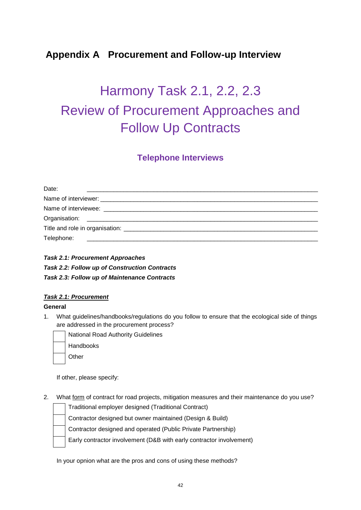## **Appendix A Procurement and Follow-up Interview**

# Harmony Task 2.1, 2.2, 2.3 Review of Procurement Approaches and Follow Up Contracts

#### **Telephone Interviews**

| Date:      |  |  |
|------------|--|--|
|            |  |  |
|            |  |  |
|            |  |  |
|            |  |  |
| Telephone: |  |  |

#### *Task 2.1: Procurement Approaches Task 2.2: Follow up of Construction Contracts Task 2.3: Follow up of Maintenance Contracts*

#### *Task 2.1: Procurement*

#### **General**

- 1. What guidelines/handbooks/regulations do you follow to ensure that the ecological side of things are addressed in the procurement process?
	- National Road Authority Guidelines Handbooks **Other**

If other, please specify:

2. What form of contract for road projects, mitigation measures and their maintenance do you use?

| Traditional employer designed (Traditional Contract)                 |
|----------------------------------------------------------------------|
| Contractor designed but owner maintained (Design & Build)            |
| Contractor designed and operated (Public Private Partnership)        |
| Early contractor involvement (D&B with early contractor involvement) |

In your opnion what are the pros and cons of using these methods?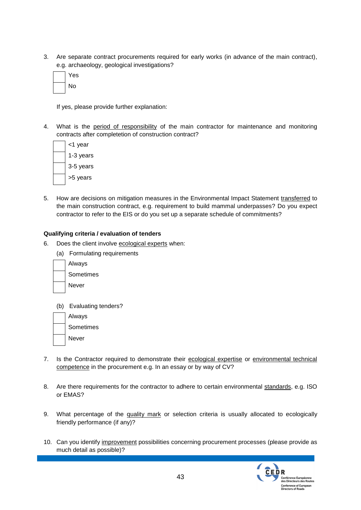3. Are separate contract procurements required for early works (in advance of the main contract), e.g. archaeology, geological investigations?

| es |
|----|
| No |

If yes, please provide further explanation:

4. What is the period of responsibility of the main contractor for maintenance and monitoring contracts after completetion of construction contract?

| <1 year   |
|-----------|
| 1-3 years |
| 3-5 years |
| >5 years  |

5. How are decisions on mitigation measures in the Environmental Impact Statement transferred to the main construction contract, e.g. requirement to build mammal underpasses? Do you expect contractor to refer to the EIS or do you set up a separate schedule of commitments?

#### **Qualifying criteria / evaluation of tenders**

- 6. Does the client involve ecological experts when:
	- (a) Formulating requirements



(b) Evaluating tenders?

| Always    |
|-----------|
| Sometimes |
| Never     |

- 7. Is the Contractor required to demonstrate their ecological expertise or environmental technical competence in the procurement e.g. In an essay or by way of CV?
- 8. Are there requirements for the contractor to adhere to certain environmental standards, e.g. ISO or EMAS?
- 9. What percentage of the quality mark or selection criteria is usually allocated to ecologically friendly performance (if any)?
- 10. Can you identify improvement possibilities concerning procurement processes (please provide as much detail as possible)?

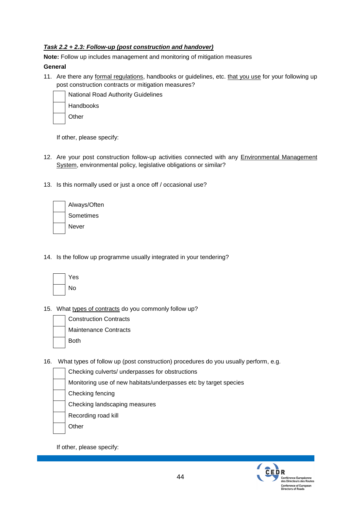#### *Task 2.2 + 2.3: Follow-up (post construction and handover)*

**Note:** Follow up includes management and monitoring of mitigation measures

#### **General**

11. Are there any formal regulations, handbooks or guidelines, etc. that you use for your following up post construction contracts or mitigation measures?



If other, please specify:

- 12. Are your post construction follow-up activities connected with any Environmental Management System, environmental policy, legislative obligations or similar?
- 13. Is this normally used or just a once off / occasional use?

| Always/Often |
|--------------|
| Sometimes    |
| Never        |

14. Is the follow up programme usually integrated in your tendering?

| es |
|----|
| No |

15. What types of contracts do you commonly follow up?



- 16. What types of follow up (post construction) procedures do you usually perform, e.g.
	- Checking culverts/ underpasses for obstructions Monitoring use of new habitats/underpasses etc by target species Checking fencing Checking landscaping measures

Recording road kill

**Other** 

If other, please specify:

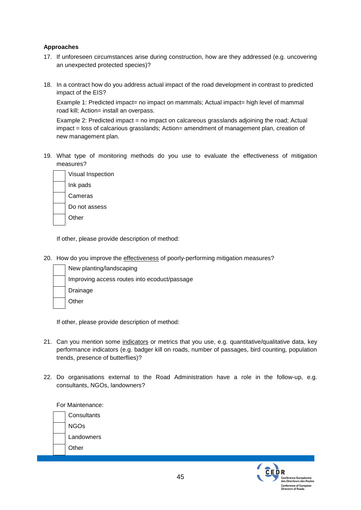#### **Approaches**

- 17. If unforeseen circumstances arise during construction, how are they addressed (e.g. uncovering an unexpected protected species)?
- 18. In a contract how do you address actual impact of the road development in contrast to predicted impact of the EIS?

Example 1: Predicted impact= no impact on mammals; Actual impact= high level of mammal road kill; Action= install an overpass.

Example 2: Predicted impact = no impact on calcareous grasslands adjoining the road; Actual impact = loss of calcarious grasslands; Action= amendment of management plan, creation of new management plan.

19. What type of monitoring methods do you use to evaluate the effectiveness of mitigation measures?



If other, please provide description of method:

20. How do you improve the effectiveness of poorly-performing mitigation measures?

| New planting/landscaping                     |
|----------------------------------------------|
| Improving access routes into ecoduct/passage |
| Drainage                                     |
| Other                                        |
|                                              |

If other, please provide description of method:

- 21. Can you mention some indicators or metrics that you use, e.g. quantitative/qualitative data, key performance indicators (e.g. badger kill on roads, number of passages, bird counting, population trends, presence of butterflies)?
- 22. Do organisations external to the Road Administration have a role in the follow-up, e.g. consultants, NGOs, landowners?

For Maintenance:

|  | Consultants |
|--|-------------|
|  | NGOs        |
|  | Landowners  |
|  | Other       |
|  |             |